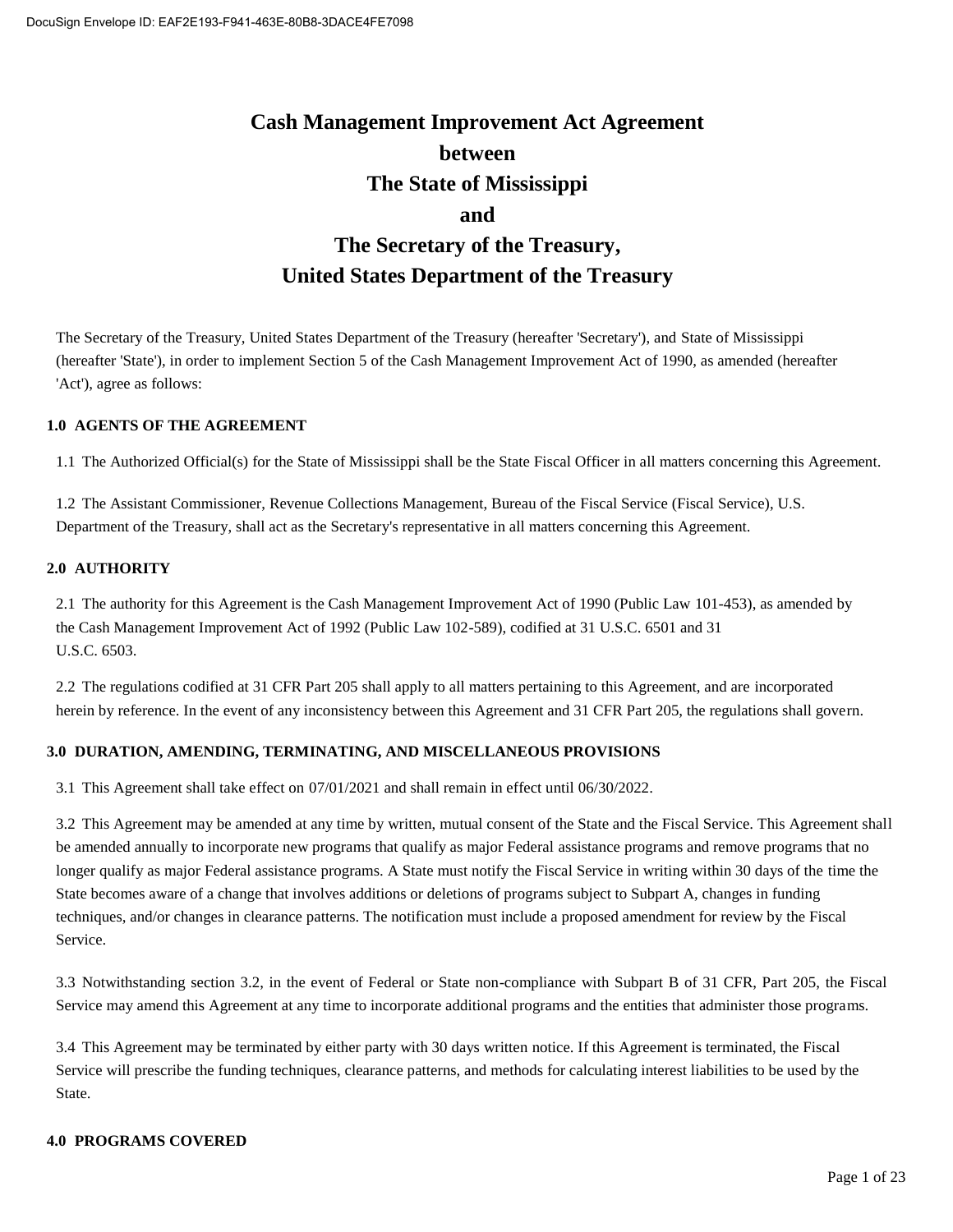# **Cash Management Improvement Act Agreement between The State of Mississippi and The Secretary of the Treasury, United States Department of the Treasury**

The Secretary of the Treasury, United States Department of the Treasury (hereafter 'Secretary'), and State of Mississippi (hereafter 'State'), in order to implement Section 5 of the Cash Management Improvement Act of 1990, as amended (hereafter 'Act'), agree as follows:

#### **1.0 AGENTS OF THE AGREEMENT**

1.1 The Authorized Official(s) for the State of Mississippi shall be the State Fiscal Officer in all matters concerning this Agreement.

1.2 The Assistant Commissioner, Revenue Collections Management, Bureau of the Fiscal Service (Fiscal Service), U.S. Department of the Treasury, shall act as the Secretary's representative in all matters concerning this Agreement.

#### **2.0 AUTHORITY**

2.1 The authority for this Agreement is the Cash Management Improvement Act of 1990 (Public Law 101-453), as amended by the Cash Management Improvement Act of 1992 (Public Law 102-589), codified at 31 U.S.C. 6501 and 31 U.S.C. 6503.

2.2 The regulations codified at 31 CFR Part 205 shall apply to all matters pertaining to this Agreement, and are incorporated herein by reference. In the event of any inconsistency between this Agreement and 31 CFR Part 205, the regulations shall govern.

#### **3.0 DURATION, AMENDING, TERMINATING, AND MISCELLANEOUS PROVISIONS**

3.1 This Agreement shall take effect on 07/01/2021 and shall remain in effect until 06/30/2022.

3.2 This Agreement may be amended at any time by written, mutual consent of the State and the Fiscal Service. This Agreement shall be amended annually to incorporate new programs that qualify as major Federal assistance programs and remove programs that no longer qualify as major Federal assistance programs. A State must notify the Fiscal Service in writing within 30 days of the time the State becomes aware of a change that involves additions or deletions of programs subject to Subpart A, changes in funding techniques, and/or changes in clearance patterns. The notification must include a proposed amendment for review by the Fiscal Service.

3.3 Notwithstanding section 3.2, in the event of Federal or State non-compliance with Subpart B of 31 CFR, Part 205, the Fiscal Service may amend this Agreement at any time to incorporate additional programs and the entities that administer those programs.

3.4 This Agreement may be terminated by either party with 30 days written notice. If this Agreement is terminated, the Fiscal Service will prescribe the funding techniques, clearance patterns, and methods for calculating interest liabilities to be used by the State.

#### **4.0 PROGRAMS COVERED**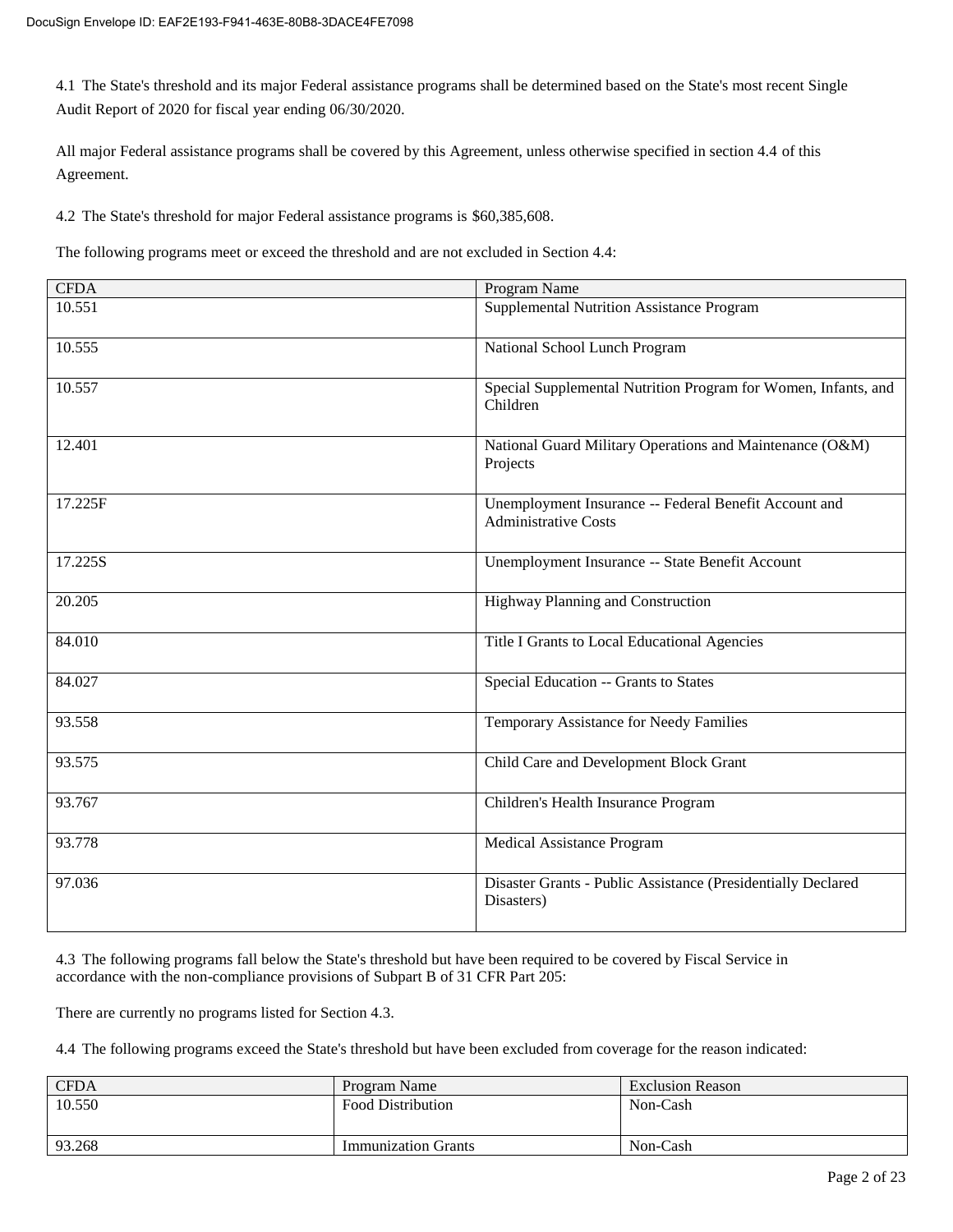4.1 The State's threshold and its major Federal assistance programs shall be determined based on the State's most recent Single Audit Report of 2020 for fiscal year ending 06/30/2020.

All major Federal assistance programs shall be covered by this Agreement, unless otherwise specified in section 4.4 of this Agreement.

4.2 The State's threshold for major Federal assistance programs is \$60,385,608.

The following programs meet or exceed the threshold and are not excluded in Section 4.4:

| <b>CFDA</b> | Program Name                                                                         |
|-------------|--------------------------------------------------------------------------------------|
| 10.551      | Supplemental Nutrition Assistance Program                                            |
| 10.555      | National School Lunch Program                                                        |
| 10.557      | Special Supplemental Nutrition Program for Women, Infants, and<br>Children           |
| 12.401      | National Guard Military Operations and Maintenance (O&M)<br>Projects                 |
| 17.225F     | Unemployment Insurance -- Federal Benefit Account and<br><b>Administrative Costs</b> |
| 17.225S     | Unemployment Insurance -- State Benefit Account                                      |
| 20.205      | Highway Planning and Construction                                                    |
| 84.010      | Title I Grants to Local Educational Agencies                                         |
| 84.027      | Special Education -- Grants to States                                                |
| 93.558      | Temporary Assistance for Needy Families                                              |
| 93.575      | Child Care and Development Block Grant                                               |
| 93.767      | Children's Health Insurance Program                                                  |
| 93.778      | Medical Assistance Program                                                           |
| 97.036      | Disaster Grants - Public Assistance (Presidentially Declared<br>Disasters)           |

4.3 The following programs fall below the State's threshold but have been required to be covered by Fiscal Service in accordance with the non-compliance provisions of Subpart B of 31 CFR Part 205:

There are currently no programs listed for Section 4.3.

4.4 The following programs exceed the State's threshold but have been excluded from coverage for the reason indicated:

| <b>CFDA</b> | Program Name               | <b>Exclusion Reason</b> |
|-------------|----------------------------|-------------------------|
| 10.550      | <b>Food Distribution</b>   | Non-Cash                |
| 93.268      | <b>Immunization Grants</b> | Non-Cash                |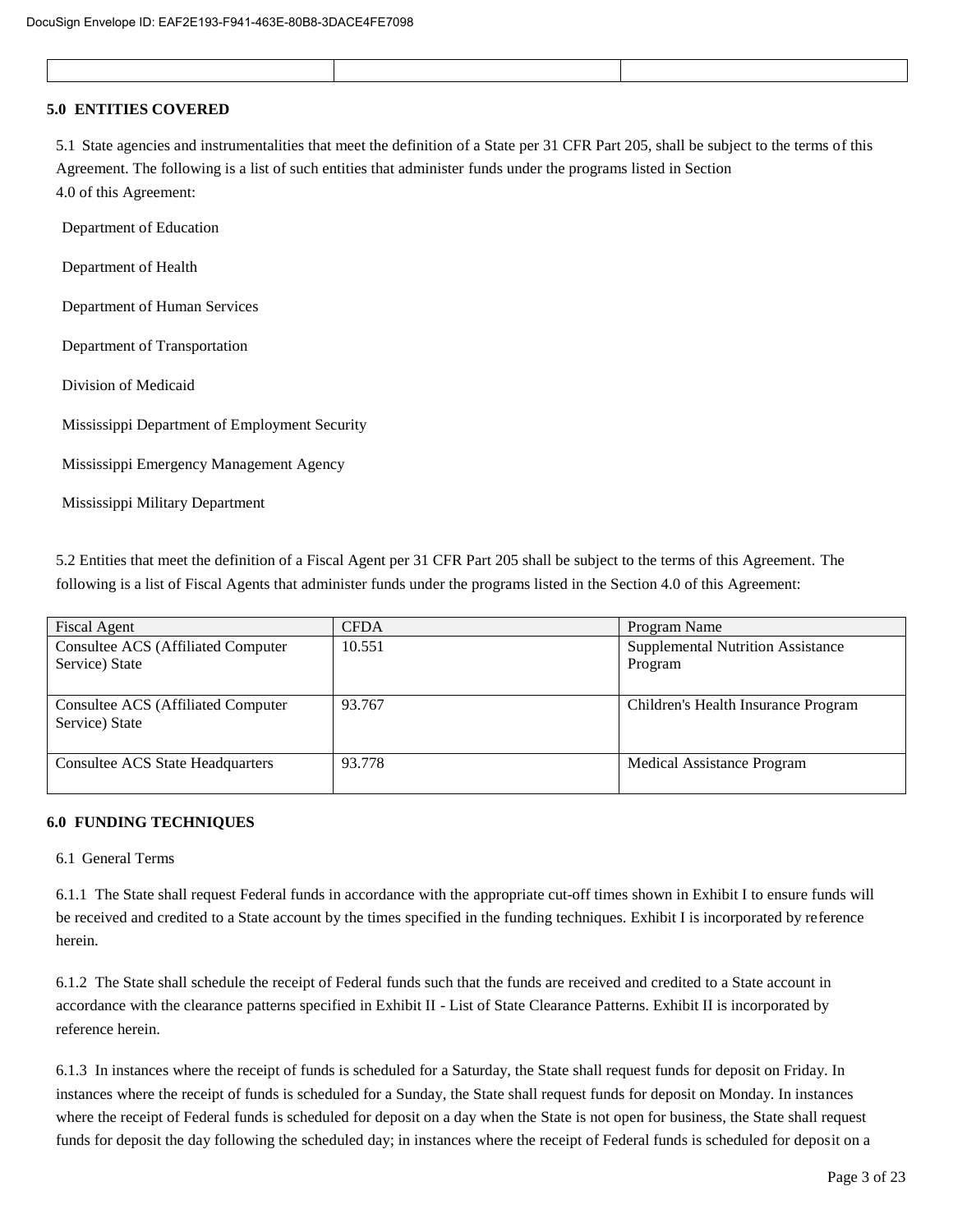#### **5.0 ENTITIES COVERED**

5.1 State agencies and instrumentalities that meet the definition of a State per 31 CFR Part 205, shall be subject to the terms of this Agreement. The following is a list of such entities that administer funds under the programs listed in Section 4.0 of this Agreement:

Department of Education

Department of Health

Department of Human Services

Department of Transportation

Division of Medicaid

Mississippi Department of Employment Security

Mississippi Emergency Management Agency

Mississippi Military Department

5.2 Entities that meet the definition of a Fiscal Agent per 31 CFR Part 205 shall be subject to the terms of this Agreement. The following is a list of Fiscal Agents that administer funds under the programs listed in the Section 4.0 of this Agreement:

| Fiscal Agent                                                 | <b>CFDA</b> | Program Name                                        |
|--------------------------------------------------------------|-------------|-----------------------------------------------------|
| <b>Consultee ACS (Affiliated Computer)</b><br>Service) State | 10.551      | <b>Supplemental Nutrition Assistance</b><br>Program |
| Consultee ACS (Affiliated Computer)<br>Service) State        | 93.767      | Children's Health Insurance Program                 |
| <b>Consultee ACS State Headquarters</b>                      | 93.778      | Medical Assistance Program                          |

#### **6.0 FUNDING TECHNIQUES**

#### 6.1 General Terms

6.1.1 The State shall request Federal funds in accordance with the appropriate cut-off times shown in Exhibit I to ensure funds will be received and credited to a State account by the times specified in the funding techniques. Exhibit I is incorporated by reference herein.

6.1.2 The State shall schedule the receipt of Federal funds such that the funds are received and credited to a State account in accordance with the clearance patterns specified in Exhibit II - List of State Clearance Patterns. Exhibit II is incorporated by reference herein.

6.1.3 In instances where the receipt of funds is scheduled for a Saturday, the State shall request funds for deposit on Friday. In instances where the receipt of funds is scheduled for a Sunday, the State shall request funds for deposit on Monday. In instances where the receipt of Federal funds is scheduled for deposit on a day when the State is not open for business, the State shall request funds for deposit the day following the scheduled day; in instances where the receipt of Federal funds is scheduled for deposit on a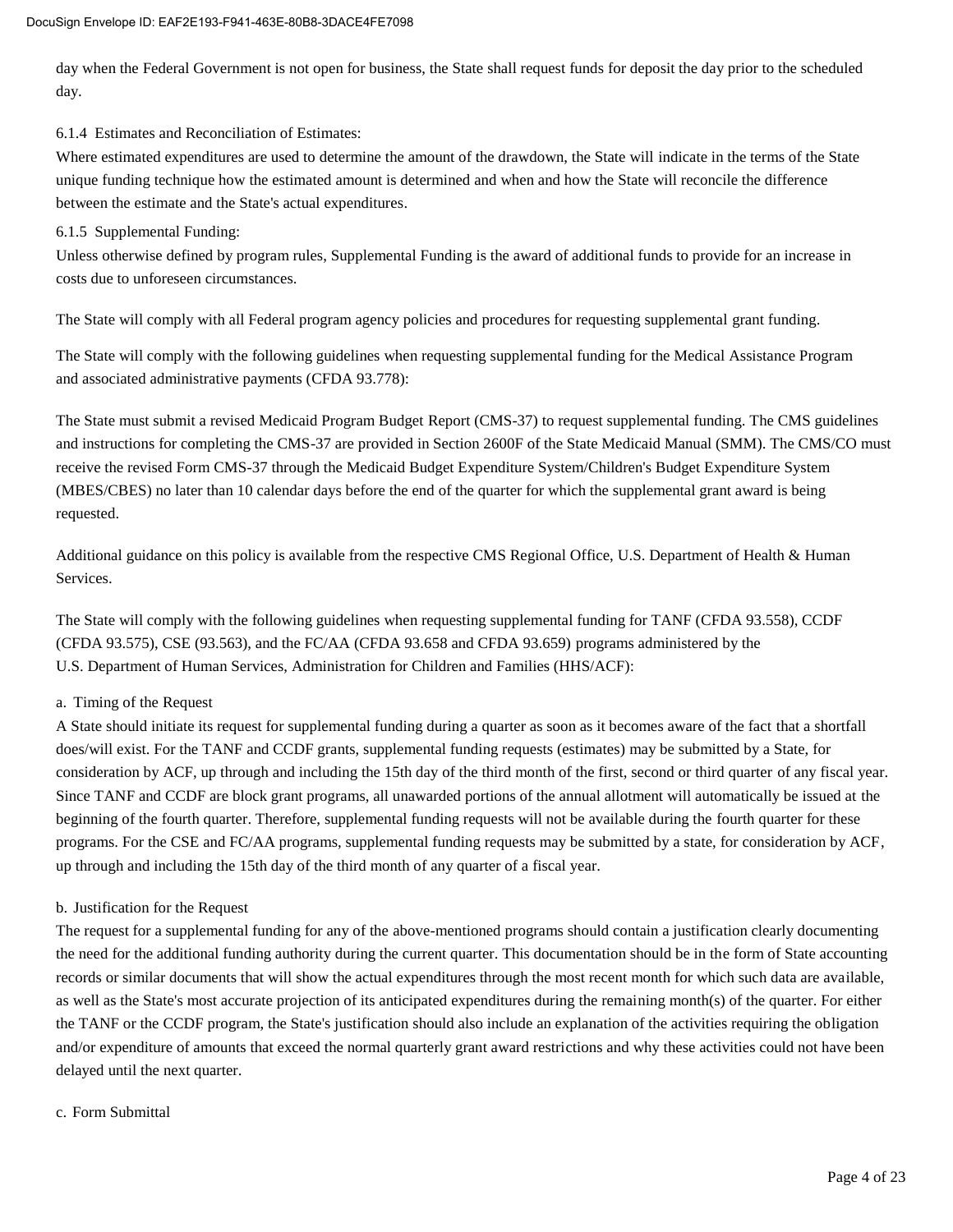day when the Federal Government is not open for business, the State shall request funds for deposit the day prior to the scheduled day.

6.1.4 Estimates and Reconciliation of Estimates:

Where estimated expenditures are used to determine the amount of the drawdown, the State will indicate in the terms of the State unique funding technique how the estimated amount is determined and when and how the State will reconcile the difference between the estimate and the State's actual expenditures.

#### 6.1.5 Supplemental Funding:

Unless otherwise defined by program rules, Supplemental Funding is the award of additional funds to provide for an increase in costs due to unforeseen circumstances.

The State will comply with all Federal program agency policies and procedures for requesting supplemental grant funding.

The State will comply with the following guidelines when requesting supplemental funding for the Medical Assistance Program and associated administrative payments (CFDA 93.778):

The State must submit a revised Medicaid Program Budget Report (CMS-37) to request supplemental funding. The CMS guidelines and instructions for completing the CMS-37 are provided in Section 2600F of the State Medicaid Manual (SMM). The CMS/CO must receive the revised Form CMS-37 through the Medicaid Budget Expenditure System/Children's Budget Expenditure System (MBES/CBES) no later than 10 calendar days before the end of the quarter for which the supplemental grant award is being requested.

Additional guidance on this policy is available from the respective CMS Regional Office, U.S. Department of Health & Human Services.

The State will comply with the following guidelines when requesting supplemental funding for TANF (CFDA 93.558), CCDF (CFDA 93.575), CSE (93.563), and the FC/AA (CFDA 93.658 and CFDA 93.659) programs administered by the U.S. Department of Human Services, Administration for Children and Families (HHS/ACF):

#### a. Timing of the Request

A State should initiate its request for supplemental funding during a quarter as soon as it becomes aware of the fact that a shortfall does/will exist. For the TANF and CCDF grants, supplemental funding requests (estimates) may be submitted by a State, for consideration by ACF, up through and including the 15th day of the third month of the first, second or third quarter of any fiscal year. Since TANF and CCDF are block grant programs, all unawarded portions of the annual allotment will automatically be issued at the beginning of the fourth quarter. Therefore, supplemental funding requests will not be available during the fourth quarter for these programs. For the CSE and FC/AA programs, supplemental funding requests may be submitted by a state, for consideration by ACF, up through and including the 15th day of the third month of any quarter of a fiscal year.

#### b. Justification for the Request

The request for a supplemental funding for any of the above-mentioned programs should contain a justification clearly documenting the need for the additional funding authority during the current quarter. This documentation should be in the form of State accounting records or similar documents that will show the actual expenditures through the most recent month for which such data are available, as well as the State's most accurate projection of its anticipated expenditures during the remaining month(s) of the quarter. For either the TANF or the CCDF program, the State's justification should also include an explanation of the activities requiring the obligation and/or expenditure of amounts that exceed the normal quarterly grant award restrictions and why these activities could not have been delayed until the next quarter.

#### c. Form Submittal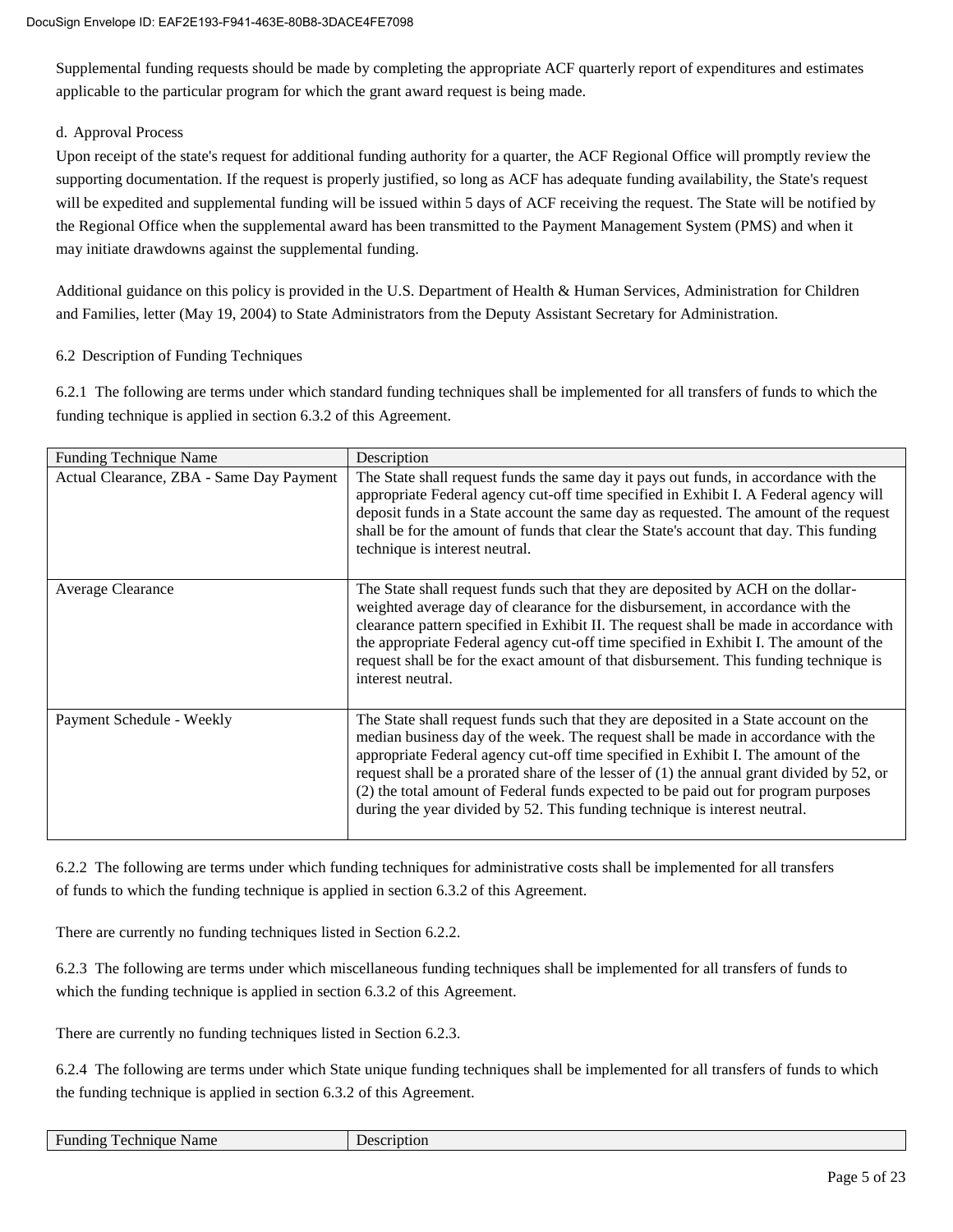Supplemental funding requests should be made by completing the appropriate ACF quarterly report of expenditures and estimates applicable to the particular program for which the grant award request is being made.

#### d. Approval Process

Upon receipt of the state's request for additional funding authority for a quarter, the ACF Regional Office will promptly review the supporting documentation. If the request is properly justified, so long as ACF has adequate funding availability, the State's request will be expedited and supplemental funding will be issued within 5 days of ACF receiving the request. The State will be notified by the Regional Office when the supplemental award has been transmitted to the Payment Management System (PMS) and when it may initiate drawdowns against the supplemental funding.

Additional guidance on this policy is provided in the U.S. Department of Health & Human Services, Administration for Children and Families, letter (May 19, 2004) to State Administrators from the Deputy Assistant Secretary for Administration.

#### 6.2 Description of Funding Techniques

6.2.1 The following are terms under which standard funding techniques shall be implemented for all transfers of funds to which the funding technique is applied in section 6.3.2 of this Agreement.

| <b>Funding Technique Name</b>            | Description                                                                                                                                                                                                                                                                                                                                                                                                                                                                                                                       |
|------------------------------------------|-----------------------------------------------------------------------------------------------------------------------------------------------------------------------------------------------------------------------------------------------------------------------------------------------------------------------------------------------------------------------------------------------------------------------------------------------------------------------------------------------------------------------------------|
| Actual Clearance, ZBA - Same Day Payment | The State shall request funds the same day it pays out funds, in accordance with the<br>appropriate Federal agency cut-off time specified in Exhibit I. A Federal agency will<br>deposit funds in a State account the same day as requested. The amount of the request<br>shall be for the amount of funds that clear the State's account that day. This funding<br>technique is interest neutral.                                                                                                                                |
| Average Clearance                        | The State shall request funds such that they are deposited by ACH on the dollar-<br>weighted average day of clearance for the disbursement, in accordance with the<br>clearance pattern specified in Exhibit II. The request shall be made in accordance with<br>the appropriate Federal agency cut-off time specified in Exhibit I. The amount of the<br>request shall be for the exact amount of that disbursement. This funding technique is<br>interest neutral.                                                              |
| Payment Schedule - Weekly                | The State shall request funds such that they are deposited in a State account on the<br>median business day of the week. The request shall be made in accordance with the<br>appropriate Federal agency cut-off time specified in Exhibit I. The amount of the<br>request shall be a prorated share of the lesser of $(1)$ the annual grant divided by 52, or<br>(2) the total amount of Federal funds expected to be paid out for program purposes<br>during the year divided by 52. This funding technique is interest neutral. |

6.2.2 The following are terms under which funding techniques for administrative costs shall be implemented for all transfers of funds to which the funding technique is applied in section 6.3.2 of this Agreement.

There are currently no funding techniques listed in Section 6.2.2.

6.2.3 The following are terms under which miscellaneous funding techniques shall be implemented for all transfers of funds to which the funding technique is applied in section 6.3.2 of this Agreement.

There are currently no funding techniques listed in Section 6.2.3.

6.2.4 The following are terms under which State unique funding techniques shall be implemented for all transfers of funds to which the funding technique is applied in section 6.3.2 of this Agreement.

|  |  | <b>Funding Technique Name</b> |
|--|--|-------------------------------|
|--|--|-------------------------------|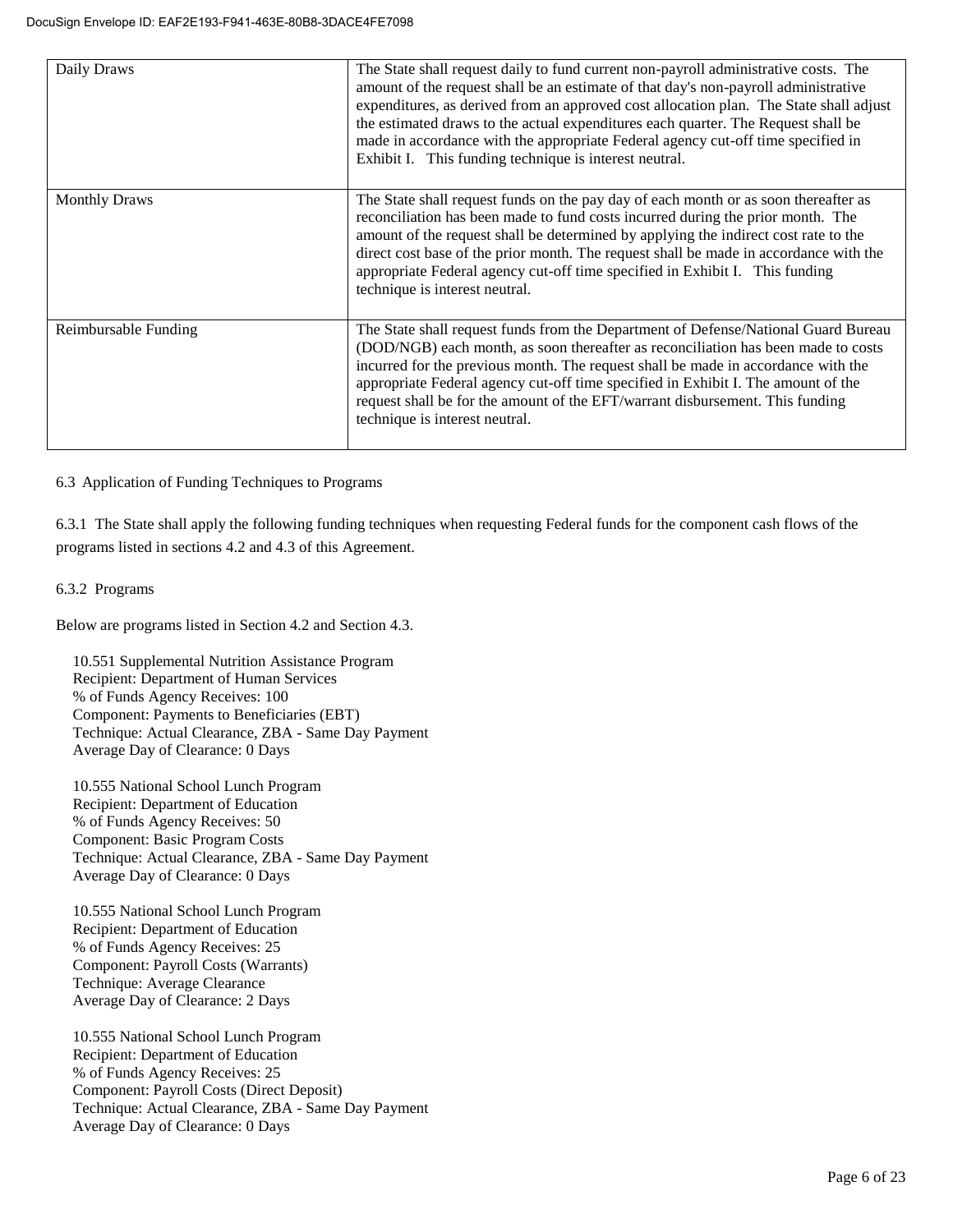| Daily Draws          | The State shall request daily to fund current non-payroll administrative costs. The<br>amount of the request shall be an estimate of that day's non-payroll administrative<br>expenditures, as derived from an approved cost allocation plan. The State shall adjust<br>the estimated draws to the actual expenditures each quarter. The Request shall be<br>made in accordance with the appropriate Federal agency cut-off time specified in<br>Exhibit I. This funding technique is interest neutral. |
|----------------------|---------------------------------------------------------------------------------------------------------------------------------------------------------------------------------------------------------------------------------------------------------------------------------------------------------------------------------------------------------------------------------------------------------------------------------------------------------------------------------------------------------|
| <b>Monthly Draws</b> | The State shall request funds on the pay day of each month or as soon thereafter as<br>reconciliation has been made to fund costs incurred during the prior month. The<br>amount of the request shall be determined by applying the indirect cost rate to the<br>direct cost base of the prior month. The request shall be made in accordance with the<br>appropriate Federal agency cut-off time specified in Exhibit I. This funding<br>technique is interest neutral.                                |
| Reimbursable Funding | The State shall request funds from the Department of Defense/National Guard Bureau<br>(DOD/NGB) each month, as soon thereafter as reconciliation has been made to costs<br>incurred for the previous month. The request shall be made in accordance with the<br>appropriate Federal agency cut-off time specified in Exhibit I. The amount of the<br>request shall be for the amount of the EFT/warrant disbursement. This funding<br>technique is interest neutral.                                    |

6.3 Application of Funding Techniques to Programs

6.3.1 The State shall apply the following funding techniques when requesting Federal funds for the component cash flows of the programs listed in sections 4.2 and 4.3 of this Agreement.

#### 6.3.2 Programs

Below are programs listed in Section 4.2 and Section 4.3.

10.551 Supplemental Nutrition Assistance Program Recipient: Department of Human Services % of Funds Agency Receives: 100 Component: Payments to Beneficiaries (EBT) Technique: Actual Clearance, ZBA - Same Day Payment Average Day of Clearance: 0 Days

10.555 National School Lunch Program Recipient: Department of Education % of Funds Agency Receives: 50 Component: Basic Program Costs Technique: Actual Clearance, ZBA - Same Day Payment Average Day of Clearance: 0 Days

10.555 National School Lunch Program Recipient: Department of Education % of Funds Agency Receives: 25 Component: Payroll Costs (Warrants) Technique: Average Clearance Average Day of Clearance: 2 Days

10.555 National School Lunch Program Recipient: Department of Education % of Funds Agency Receives: 25 Component: Payroll Costs (Direct Deposit) Technique: Actual Clearance, ZBA - Same Day Payment Average Day of Clearance: 0 Days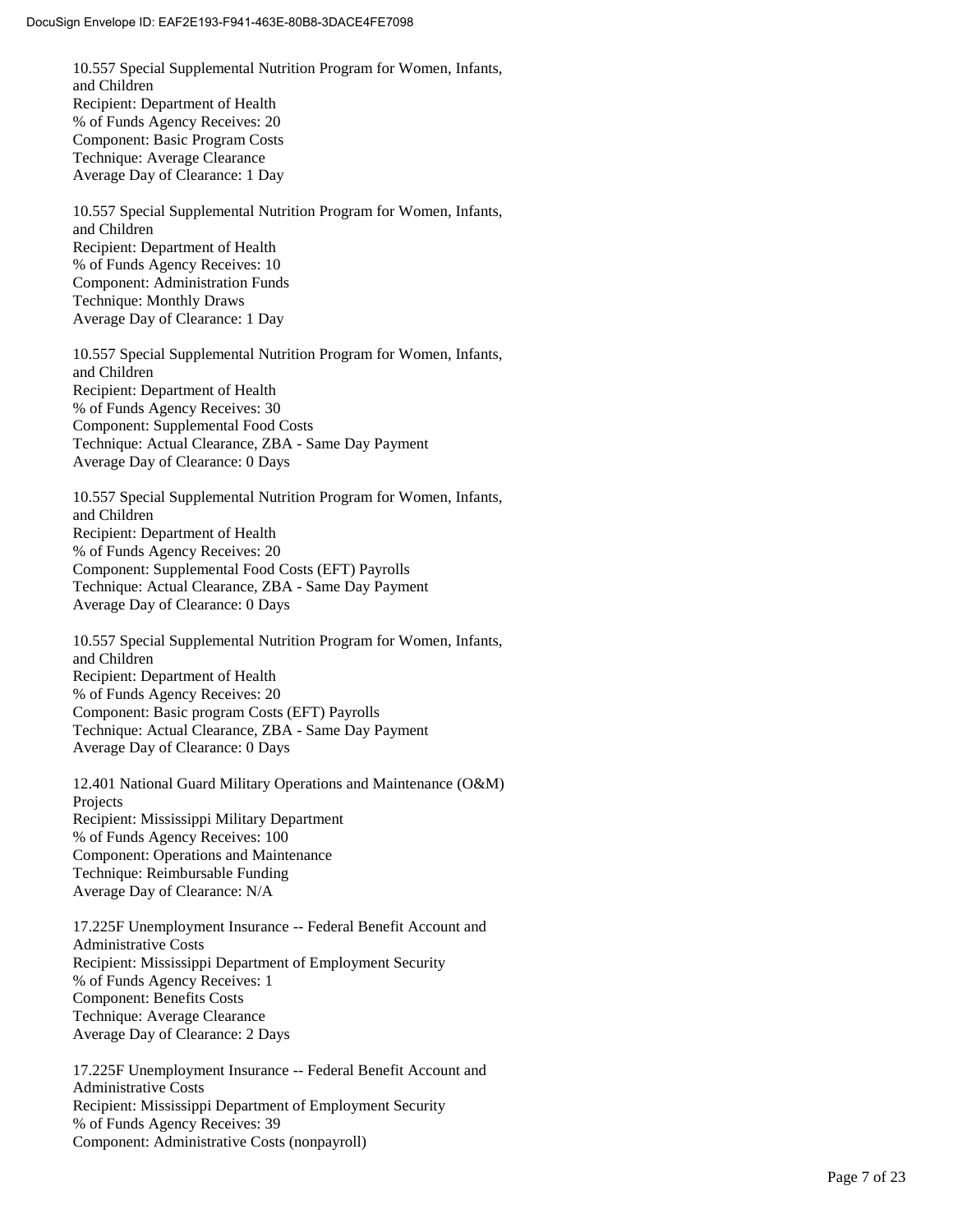10.557 Special Supplemental Nutrition Program for Women, Infants, and Children Recipient: Department of Health % of Funds Agency Receives: 20 Component: Basic Program Costs Technique: Average Clearance Average Day of Clearance: 1 Day

10.557 Special Supplemental Nutrition Program for Women, Infants, and Children Recipient: Department of Health % of Funds Agency Receives: 10 Component: Administration Funds Technique: Monthly Draws Average Day of Clearance: 1 Day

10.557 Special Supplemental Nutrition Program for Women, Infants, and Children Recipient: Department of Health % of Funds Agency Receives: 30 Component: Supplemental Food Costs Technique: Actual Clearance, ZBA - Same Day Payment Average Day of Clearance: 0 Days

10.557 Special Supplemental Nutrition Program for Women, Infants, and Children Recipient: Department of Health % of Funds Agency Receives: 20 Component: Supplemental Food Costs (EFT) Payrolls Technique: Actual Clearance, ZBA - Same Day Payment Average Day of Clearance: 0 Days

10.557 Special Supplemental Nutrition Program for Women, Infants, and Children Recipient: Department of Health % of Funds Agency Receives: 20 Component: Basic program Costs (EFT) Payrolls Technique: Actual Clearance, ZBA - Same Day Payment Average Day of Clearance: 0 Days

12.401 National Guard Military Operations and Maintenance (O&M) Projects Recipient: Mississippi Military Department % of Funds Agency Receives: 100 Component: Operations and Maintenance Technique: Reimbursable Funding Average Day of Clearance: N/A

17.225F Unemployment Insurance -- Federal Benefit Account and Administrative Costs Recipient: Mississippi Department of Employment Security % of Funds Agency Receives: 1 Component: Benefits Costs Technique: Average Clearance Average Day of Clearance: 2 Days

17.225F Unemployment Insurance -- Federal Benefit Account and Administrative Costs Recipient: Mississippi Department of Employment Security % of Funds Agency Receives: 39 Component: Administrative Costs (nonpayroll)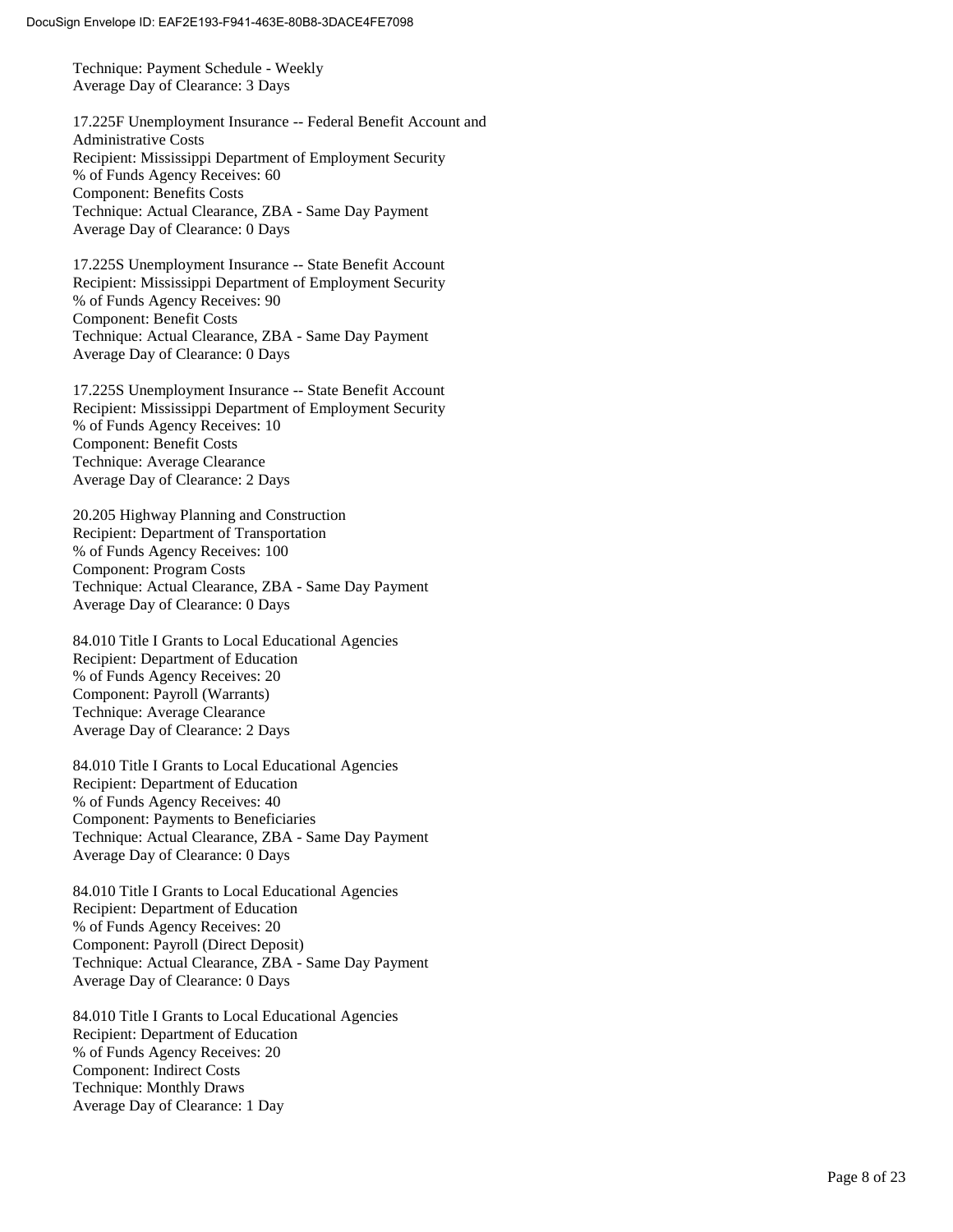Technique: Payment Schedule - Weekly Average Day of Clearance: 3 Days

17.225F Unemployment Insurance -- Federal Benefit Account and Administrative Costs Recipient: Mississippi Department of Employment Security % of Funds Agency Receives: 60 Component: Benefits Costs Technique: Actual Clearance, ZBA - Same Day Payment Average Day of Clearance: 0 Days

17.225S Unemployment Insurance -- State Benefit Account Recipient: Mississippi Department of Employment Security % of Funds Agency Receives: 90 Component: Benefit Costs Technique: Actual Clearance, ZBA - Same Day Payment Average Day of Clearance: 0 Days

17.225S Unemployment Insurance -- State Benefit Account Recipient: Mississippi Department of Employment Security % of Funds Agency Receives: 10 Component: Benefit Costs Technique: Average Clearance Average Day of Clearance: 2 Days

20.205 Highway Planning and Construction Recipient: Department of Transportation % of Funds Agency Receives: 100 Component: Program Costs Technique: Actual Clearance, ZBA - Same Day Payment Average Day of Clearance: 0 Days

84.010 Title I Grants to Local Educational Agencies Recipient: Department of Education % of Funds Agency Receives: 20 Component: Payroll (Warrants) Technique: Average Clearance Average Day of Clearance: 2 Days

84.010 Title I Grants to Local Educational Agencies Recipient: Department of Education % of Funds Agency Receives: 40 Component: Payments to Beneficiaries Technique: Actual Clearance, ZBA - Same Day Payment Average Day of Clearance: 0 Days

84.010 Title I Grants to Local Educational Agencies Recipient: Department of Education % of Funds Agency Receives: 20 Component: Payroll (Direct Deposit) Technique: Actual Clearance, ZBA - Same Day Payment Average Day of Clearance: 0 Days

84.010 Title I Grants to Local Educational Agencies Recipient: Department of Education % of Funds Agency Receives: 20 Component: Indirect Costs Technique: Monthly Draws Average Day of Clearance: 1 Day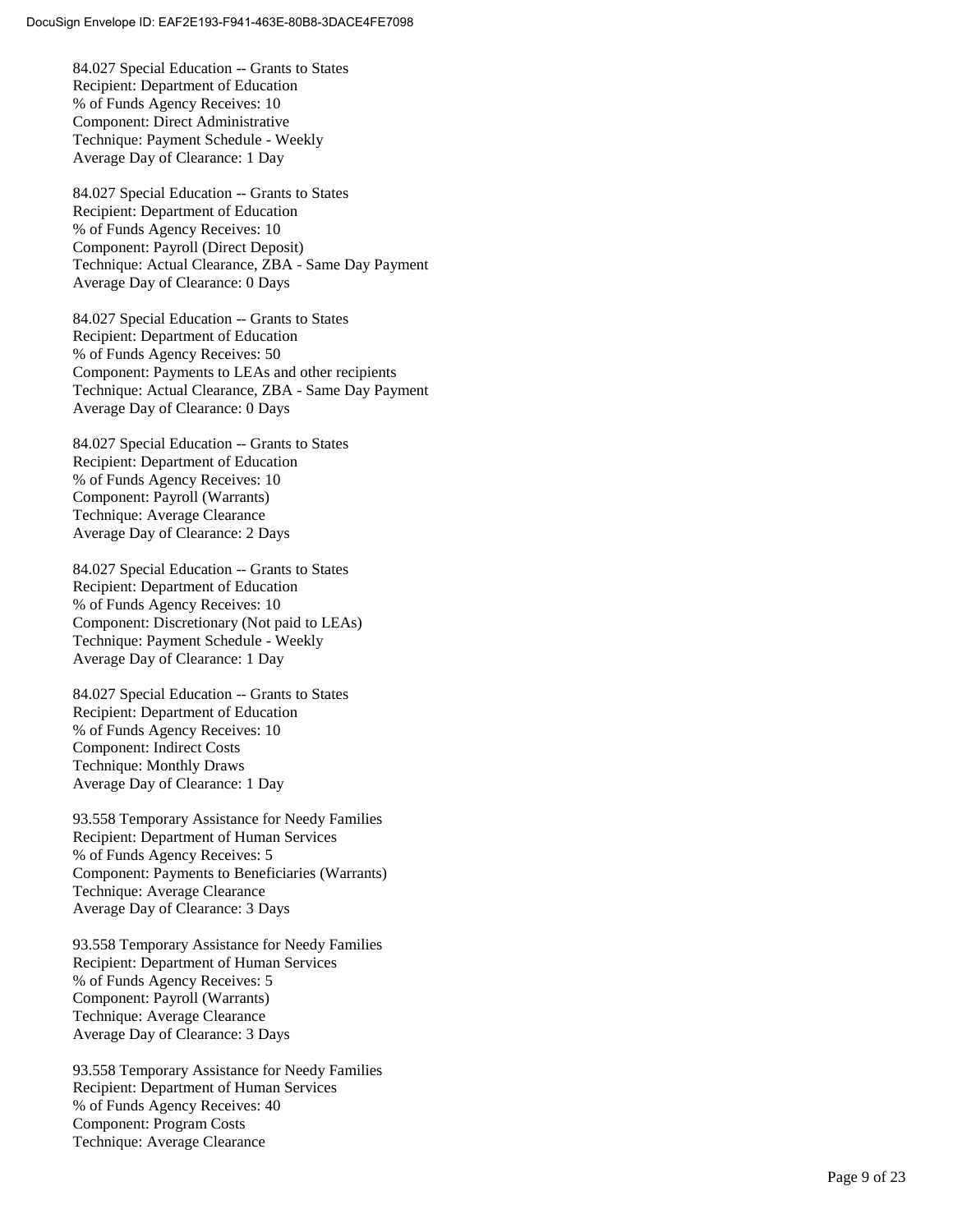84.027 Special Education -- Grants to States Recipient: Department of Education % of Funds Agency Receives: 10 Component: Direct Administrative Technique: Payment Schedule - Weekly Average Day of Clearance: 1 Day

84.027 Special Education -- Grants to States Recipient: Department of Education % of Funds Agency Receives: 10 Component: Payroll (Direct Deposit) Technique: Actual Clearance, ZBA - Same Day Payment Average Day of Clearance: 0 Days

84.027 Special Education -- Grants to States Recipient: Department of Education % of Funds Agency Receives: 50 Component: Payments to LEAs and other recipients Technique: Actual Clearance, ZBA - Same Day Payment Average Day of Clearance: 0 Days

84.027 Special Education -- Grants to States Recipient: Department of Education % of Funds Agency Receives: 10 Component: Payroll (Warrants) Technique: Average Clearance Average Day of Clearance: 2 Days

84.027 Special Education -- Grants to States Recipient: Department of Education % of Funds Agency Receives: 10 Component: Discretionary (Not paid to LEAs) Technique: Payment Schedule - Weekly Average Day of Clearance: 1 Day

84.027 Special Education -- Grants to States Recipient: Department of Education % of Funds Agency Receives: 10 Component: Indirect Costs Technique: Monthly Draws Average Day of Clearance: 1 Day

93.558 Temporary Assistance for Needy Families Recipient: Department of Human Services % of Funds Agency Receives: 5 Component: Payments to Beneficiaries (Warrants) Technique: Average Clearance Average Day of Clearance: 3 Days

93.558 Temporary Assistance for Needy Families Recipient: Department of Human Services % of Funds Agency Receives: 5 Component: Payroll (Warrants) Technique: Average Clearance Average Day of Clearance: 3 Days

93.558 Temporary Assistance for Needy Families Recipient: Department of Human Services % of Funds Agency Receives: 40 Component: Program Costs Technique: Average Clearance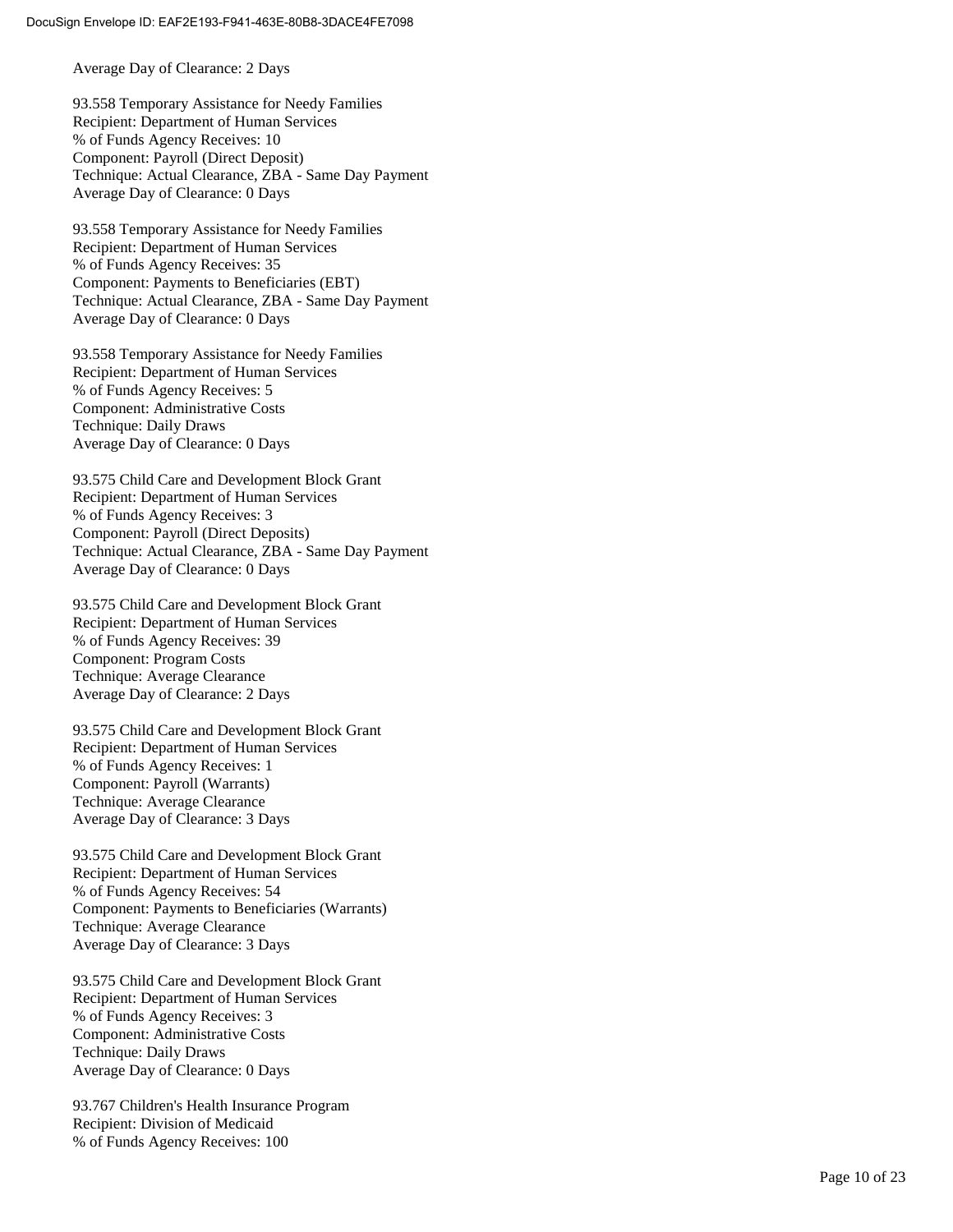Average Day of Clearance: 2 Days

93.558 Temporary Assistance for Needy Families Recipient: Department of Human Services % of Funds Agency Receives: 10 Component: Payroll (Direct Deposit) Technique: Actual Clearance, ZBA - Same Day Payment Average Day of Clearance: 0 Days

93.558 Temporary Assistance for Needy Families Recipient: Department of Human Services % of Funds Agency Receives: 35 Component: Payments to Beneficiaries (EBT) Technique: Actual Clearance, ZBA - Same Day Payment Average Day of Clearance: 0 Days

93.558 Temporary Assistance for Needy Families Recipient: Department of Human Services % of Funds Agency Receives: 5 Component: Administrative Costs Technique: Daily Draws Average Day of Clearance: 0 Days

93.575 Child Care and Development Block Grant Recipient: Department of Human Services % of Funds Agency Receives: 3 Component: Payroll (Direct Deposits) Technique: Actual Clearance, ZBA - Same Day Payment Average Day of Clearance: 0 Days

93.575 Child Care and Development Block Grant Recipient: Department of Human Services % of Funds Agency Receives: 39 Component: Program Costs Technique: Average Clearance Average Day of Clearance: 2 Days

93.575 Child Care and Development Block Grant Recipient: Department of Human Services % of Funds Agency Receives: 1 Component: Payroll (Warrants) Technique: Average Clearance Average Day of Clearance: 3 Days

93.575 Child Care and Development Block Grant Recipient: Department of Human Services % of Funds Agency Receives: 54 Component: Payments to Beneficiaries (Warrants) Technique: Average Clearance Average Day of Clearance: 3 Days

93.575 Child Care and Development Block Grant Recipient: Department of Human Services % of Funds Agency Receives: 3 Component: Administrative Costs Technique: Daily Draws Average Day of Clearance: 0 Days

93.767 Children's Health Insurance Program Recipient: Division of Medicaid % of Funds Agency Receives: 100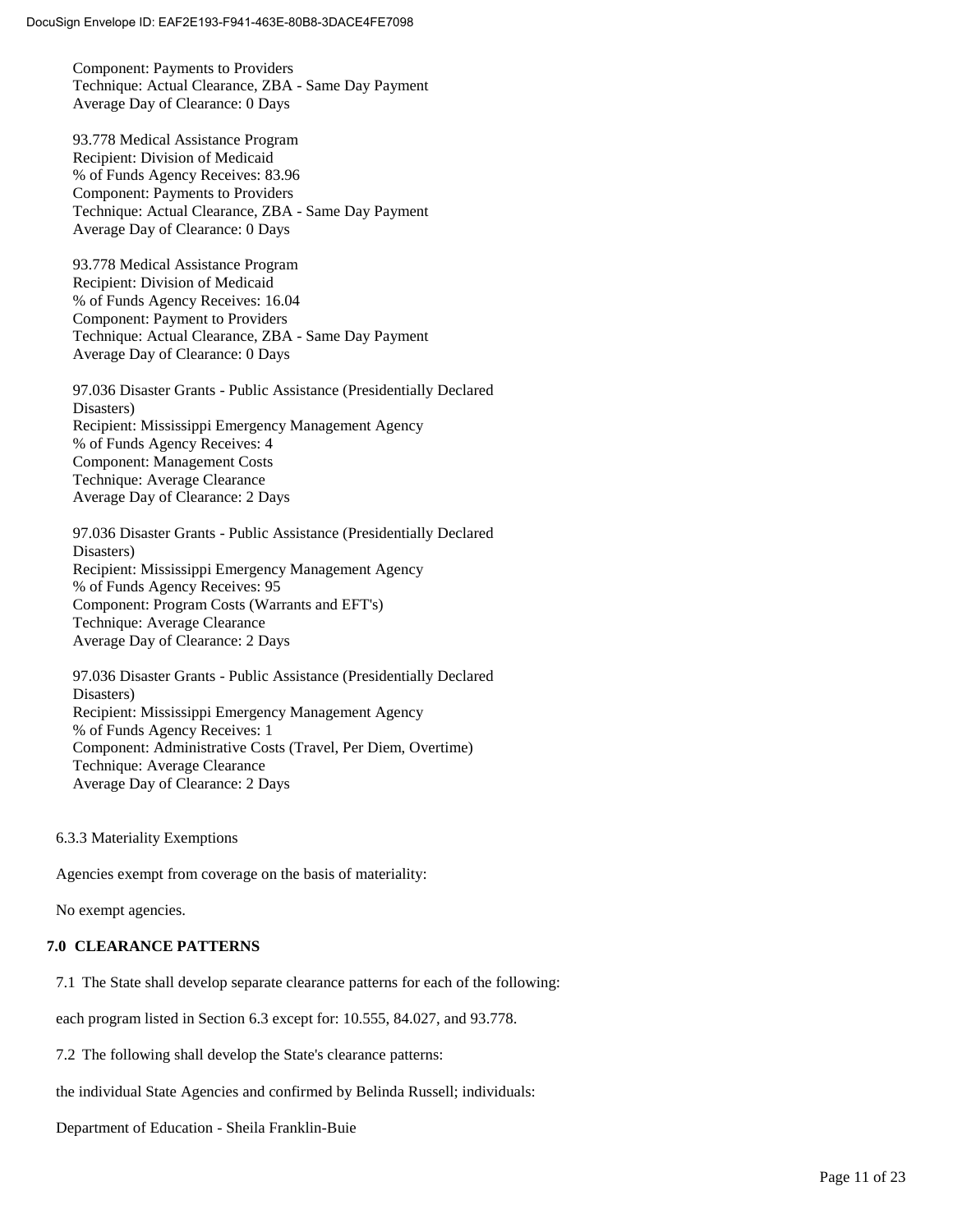Component: Payments to Providers Technique: Actual Clearance, ZBA - Same Day Payment Average Day of Clearance: 0 Days

93.778 Medical Assistance Program Recipient: Division of Medicaid % of Funds Agency Receives: 83.96 Component: Payments to Providers Technique: Actual Clearance, ZBA - Same Day Payment Average Day of Clearance: 0 Days

93.778 Medical Assistance Program Recipient: Division of Medicaid % of Funds Agency Receives: 16.04 Component: Payment to Providers Technique: Actual Clearance, ZBA - Same Day Payment Average Day of Clearance: 0 Days

97.036 Disaster Grants - Public Assistance (Presidentially Declared Disasters) Recipient: Mississippi Emergency Management Agency % of Funds Agency Receives: 4 Component: Management Costs Technique: Average Clearance Average Day of Clearance: 2 Days

97.036 Disaster Grants - Public Assistance (Presidentially Declared Disasters) Recipient: Mississippi Emergency Management Agency % of Funds Agency Receives: 95 Component: Program Costs (Warrants and EFT's) Technique: Average Clearance Average Day of Clearance: 2 Days

97.036 Disaster Grants - Public Assistance (Presidentially Declared Disasters) Recipient: Mississippi Emergency Management Agency % of Funds Agency Receives: 1 Component: Administrative Costs (Travel, Per Diem, Overtime) Technique: Average Clearance Average Day of Clearance: 2 Days

6.3.3 Materiality Exemptions

Agencies exempt from coverage on the basis of materiality:

No exempt agencies.

#### **7.0 CLEARANCE PATTERNS**

7.1 The State shall develop separate clearance patterns for each of the following:

each program listed in Section 6.3 except for: 10.555, 84.027, and 93.778.

7.2 The following shall develop the State's clearance patterns:

the individual State Agencies and confirmed by Belinda Russell; individuals:

Department of Education - Sheila Franklin-Buie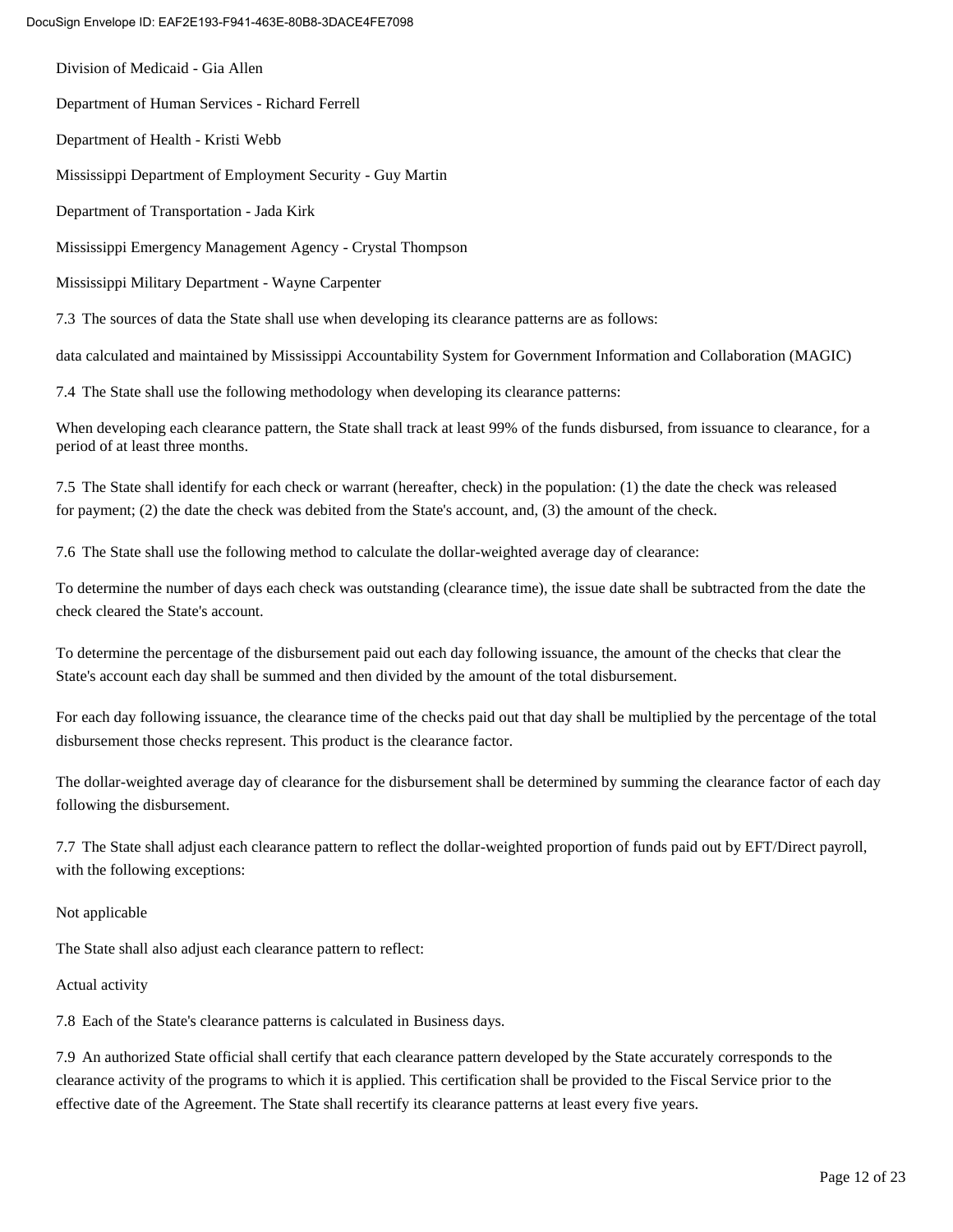Division of Medicaid - Gia Allen Department of Human Services - Richard Ferrell Department of Health - Kristi Webb Mississippi Department of Employment Security - Guy Martin Department of Transportation - Jada Kirk Mississippi Emergency Management Agency - Crystal Thompson Mississippi Military Department - Wayne Carpenter 7.3 The sources of data the State shall use when developing its clearance patterns are as follows:

data calculated and maintained by Mississippi Accountability System for Government Information and Collaboration (MAGIC)

7.4 The State shall use the following methodology when developing its clearance patterns:

When developing each clearance pattern, the State shall track at least 99% of the funds disbursed, from issuance to clearance, for a period of at least three months.

7.5 The State shall identify for each check or warrant (hereafter, check) in the population: (1) the date the check was released for payment; (2) the date the check was debited from the State's account, and, (3) the amount of the check.

7.6 The State shall use the following method to calculate the dollar-weighted average day of clearance:

To determine the number of days each check was outstanding (clearance time), the issue date shall be subtracted from the date the check cleared the State's account.

To determine the percentage of the disbursement paid out each day following issuance, the amount of the checks that clear the State's account each day shall be summed and then divided by the amount of the total disbursement.

For each day following issuance, the clearance time of the checks paid out that day shall be multiplied by the percentage of the total disbursement those checks represent. This product is the clearance factor.

The dollar-weighted average day of clearance for the disbursement shall be determined by summing the clearance factor of each day following the disbursement.

7.7 The State shall adjust each clearance pattern to reflect the dollar-weighted proportion of funds paid out by EFT/Direct payroll, with the following exceptions:

Not applicable

The State shall also adjust each clearance pattern to reflect:

Actual activity

7.8 Each of the State's clearance patterns is calculated in Business days.

7.9 An authorized State official shall certify that each clearance pattern developed by the State accurately corresponds to the clearance activity of the programs to which it is applied. This certification shall be provided to the Fiscal Service prior to the effective date of the Agreement. The State shall recertify its clearance patterns at least every five years.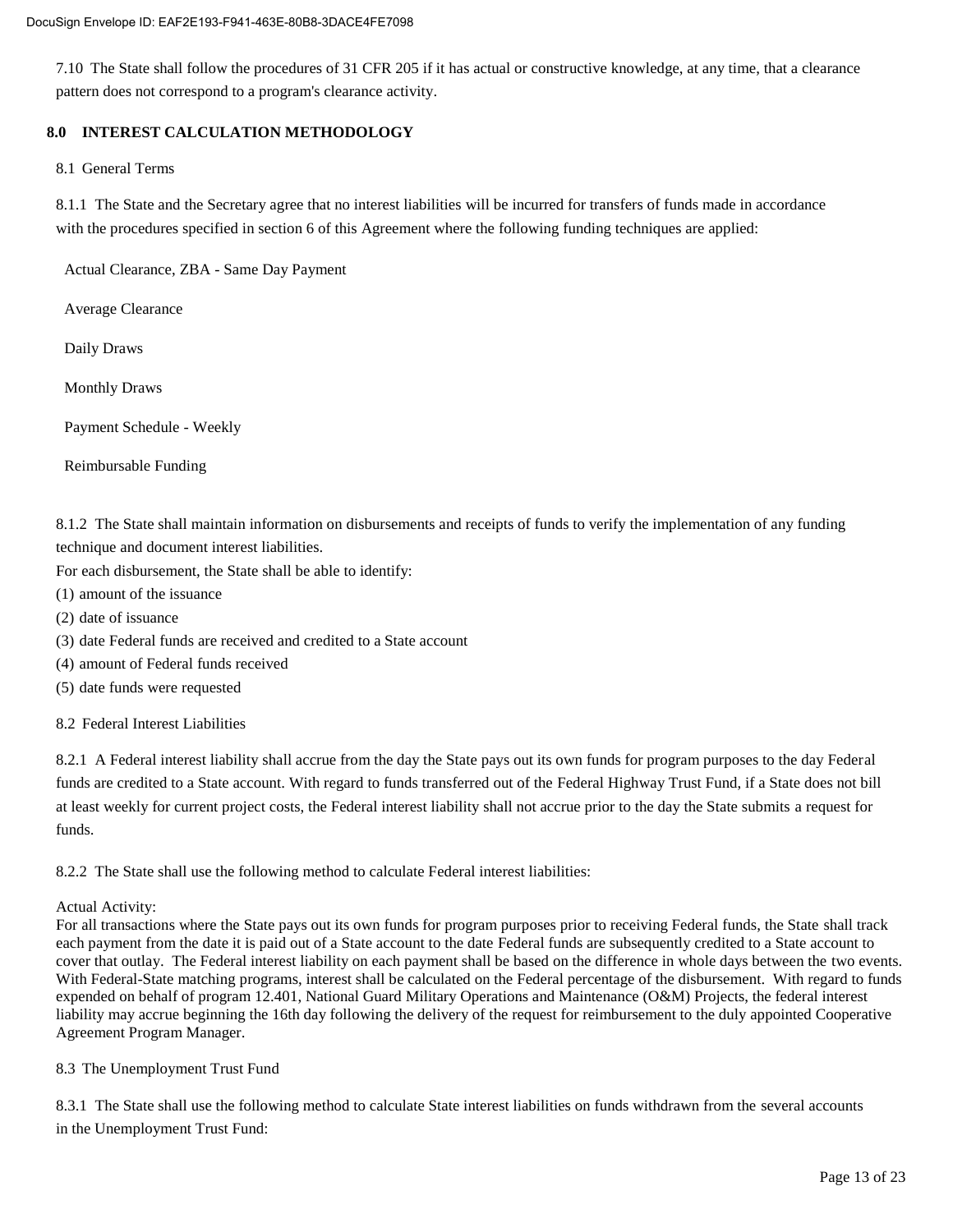7.10 The State shall follow the procedures of 31 CFR 205 if it has actual or constructive knowledge, at any time, that a clearance pattern does not correspond to a program's clearance activity.

#### **8.0 INTEREST CALCULATION METHODOLOGY**

8.1 General Terms

8.1.1 The State and the Secretary agree that no interest liabilities will be incurred for transfers of funds made in accordance with the procedures specified in section 6 of this Agreement where the following funding techniques are applied:

Actual Clearance, ZBA - Same Day Payment

Average Clearance

Daily Draws

Monthly Draws

Payment Schedule - Weekly

Reimbursable Funding

8.1.2 The State shall maintain information on disbursements and receipts of funds to verify the implementation of any funding technique and document interest liabilities.

For each disbursement, the State shall be able to identify:

- (1) amount of the issuance
- (2) date of issuance
- (3) date Federal funds are received and credited to a State account
- (4) amount of Federal funds received
- (5) date funds were requested

8.2 Federal Interest Liabilities

8.2.1 A Federal interest liability shall accrue from the day the State pays out its own funds for program purposes to the day Federal funds are credited to a State account. With regard to funds transferred out of the Federal Highway Trust Fund, if a State does not bill at least weekly for current project costs, the Federal interest liability shall not accrue prior to the day the State submits a request for funds.

8.2.2 The State shall use the following method to calculate Federal interest liabilities:

#### Actual Activity:

For all transactions where the State pays out its own funds for program purposes prior to receiving Federal funds, the State shall track each payment from the date it is paid out of a State account to the date Federal funds are subsequently credited to a State account to cover that outlay. The Federal interest liability on each payment shall be based on the difference in whole days between the two events. With Federal-State matching programs, interest shall be calculated on the Federal percentage of the disbursement. With regard to funds expended on behalf of program 12.401, National Guard Military Operations and Maintenance (O&M) Projects, the federal interest liability may accrue beginning the 16th day following the delivery of the request for reimbursement to the duly appointed Cooperative Agreement Program Manager.

#### 8.3 The Unemployment Trust Fund

8.3.1 The State shall use the following method to calculate State interest liabilities on funds withdrawn from the several accounts in the Unemployment Trust Fund: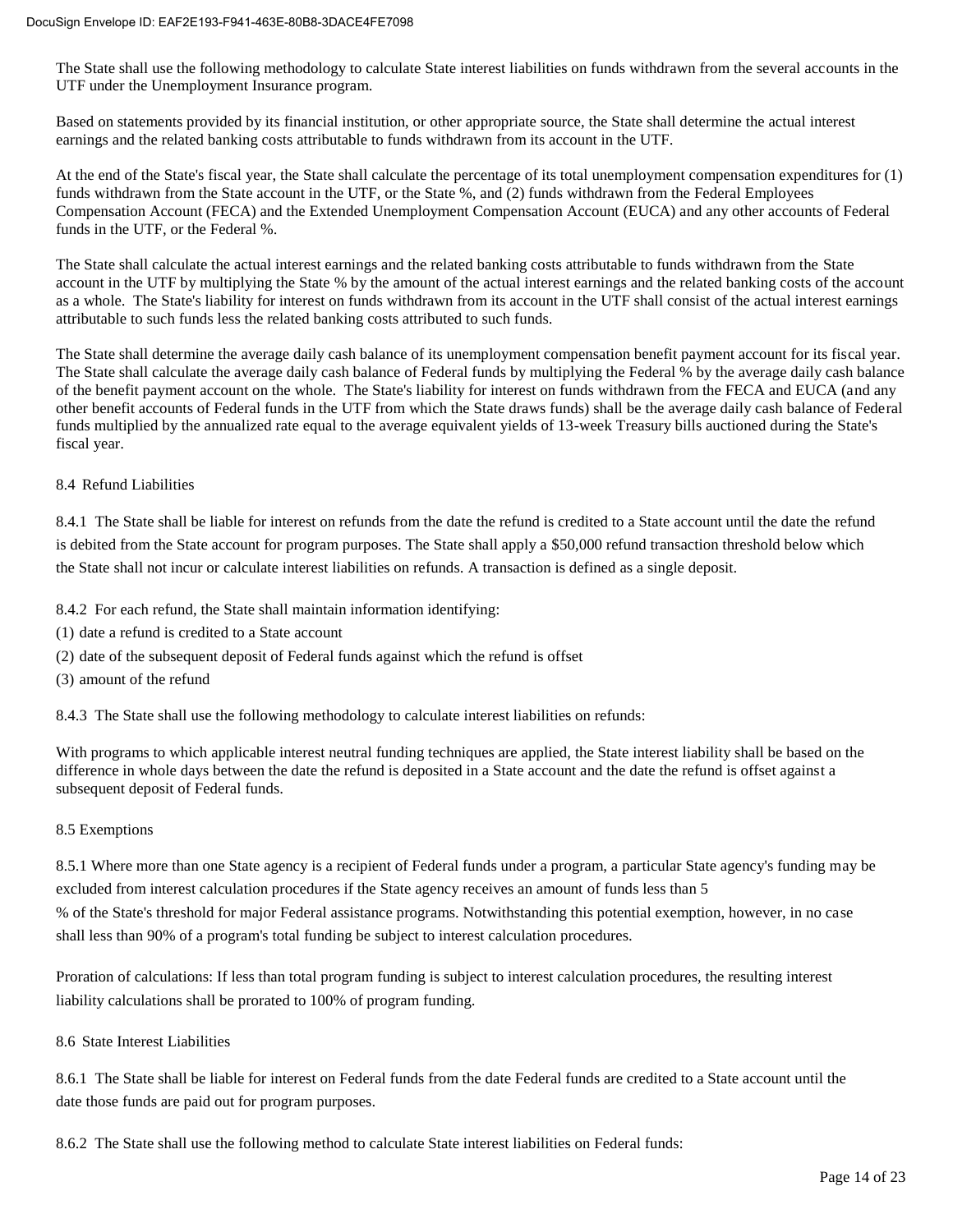The State shall use the following methodology to calculate State interest liabilities on funds withdrawn from the several accounts in the UTF under the Unemployment Insurance program.

Based on statements provided by its financial institution, or other appropriate source, the State shall determine the actual interest earnings and the related banking costs attributable to funds withdrawn from its account in the UTF.

At the end of the State's fiscal year, the State shall calculate the percentage of its total unemployment compensation expenditures for (1) funds withdrawn from the State account in the UTF, or the State %, and (2) funds withdrawn from the Federal Employees Compensation Account (FECA) and the Extended Unemployment Compensation Account (EUCA) and any other accounts of Federal funds in the UTF, or the Federal %.

The State shall calculate the actual interest earnings and the related banking costs attributable to funds withdrawn from the State account in the UTF by multiplying the State % by the amount of the actual interest earnings and the related banking costs of the account as a whole. The State's liability for interest on funds withdrawn from its account in the UTF shall consist of the actual interest earnings attributable to such funds less the related banking costs attributed to such funds.

The State shall determine the average daily cash balance of its unemployment compensation benefit payment account for its fiscal year. The State shall calculate the average daily cash balance of Federal funds by multiplying the Federal % by the average daily cash balance of the benefit payment account on the whole. The State's liability for interest on funds withdrawn from the FECA and EUCA (and any other benefit accounts of Federal funds in the UTF from which the State draws funds) shall be the average daily cash balance of Federal funds multiplied by the annualized rate equal to the average equivalent yields of 13-week Treasury bills auctioned during the State's fiscal year.

#### 8.4 Refund Liabilities

8.4.1 The State shall be liable for interest on refunds from the date the refund is credited to a State account until the date the refund is debited from the State account for program purposes. The State shall apply a \$50,000 refund transaction threshold below which the State shall not incur or calculate interest liabilities on refunds. A transaction is defined as a single deposit.

8.4.2 For each refund, the State shall maintain information identifying:

- (1) date a refund is credited to a State account
- (2) date of the subsequent deposit of Federal funds against which the refund is offset
- (3) amount of the refund

8.4.3 The State shall use the following methodology to calculate interest liabilities on refunds:

With programs to which applicable interest neutral funding techniques are applied, the State interest liability shall be based on the difference in whole days between the date the refund is deposited in a State account and the date the refund is offset against a subsequent deposit of Federal funds.

#### 8.5 Exemptions

8.5.1 Where more than one State agency is a recipient of Federal funds under a program, a particular State agency's funding may be excluded from interest calculation procedures if the State agency receives an amount of funds less than 5 % of the State's threshold for major Federal assistance programs. Notwithstanding this potential exemption, however, in no case shall less than 90% of a program's total funding be subject to interest calculation procedures.

Proration of calculations: If less than total program funding is subject to interest calculation procedures, the resulting interest liability calculations shall be prorated to 100% of program funding.

#### 8.6 State Interest Liabilities

8.6.1 The State shall be liable for interest on Federal funds from the date Federal funds are credited to a State account until the date those funds are paid out for program purposes.

8.6.2 The State shall use the following method to calculate State interest liabilities on Federal funds: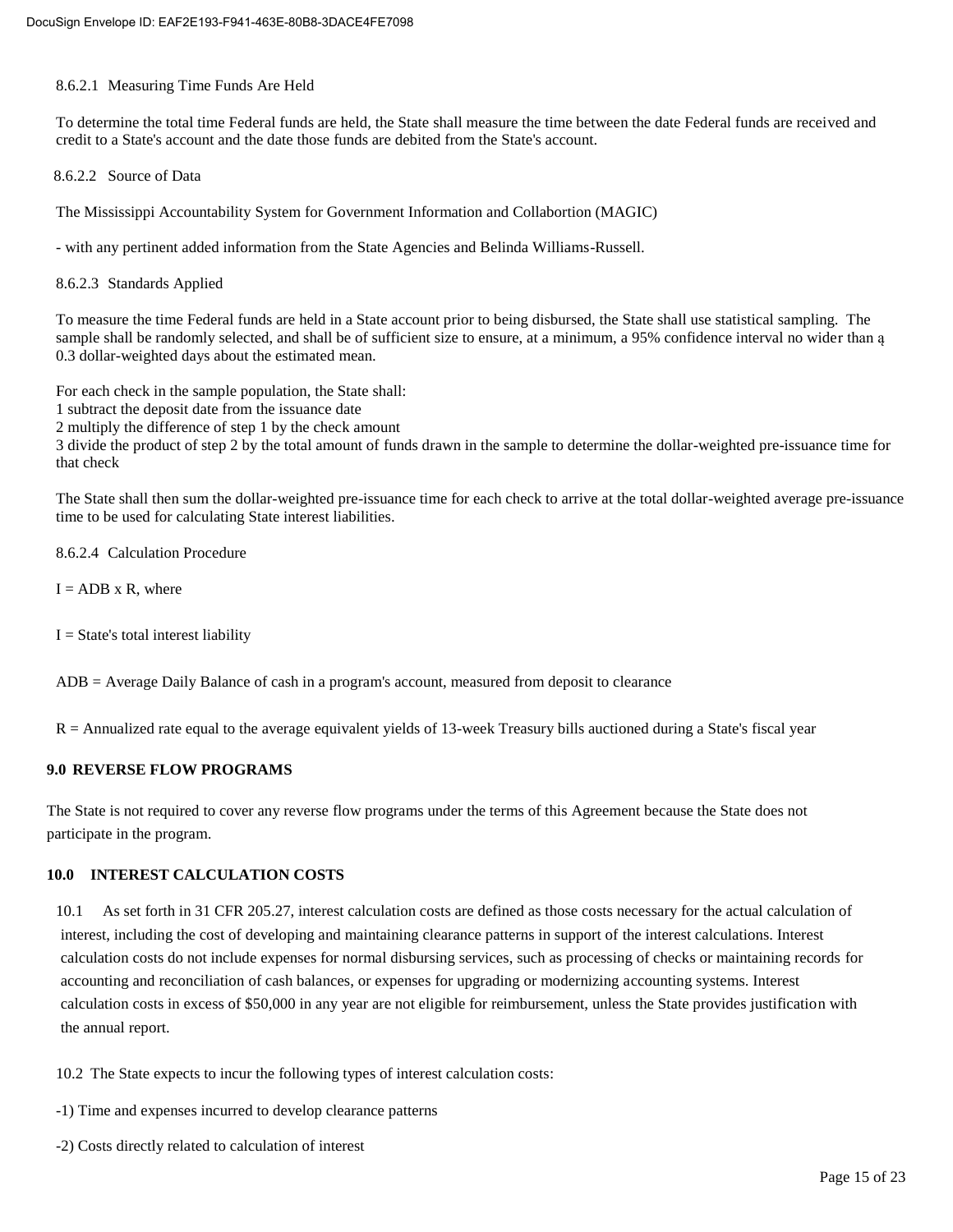#### 8.6.2.1 Measuring Time Funds Are Held

To determine the total time Federal funds are held, the State shall measure the time between the date Federal funds are received and credit to a State's account and the date those funds are debited from the State's account.

8.6.2.2 Source of Data

The Mississippi Accountability System for Government Information and Collabortion (MAGIC)

- with any pertinent added information from the State Agencies and Belinda Williams-Russell.

8.6.2.3 Standards Applied

To measure the time Federal funds are held in a State account prior to being disbursed, the State shall use statistical sampling. The sample shall be randomly selected, and shall be of sufficient size to ensure, at a minimum, a 95% confidence interval no wider than ą 0.3 dollar-weighted days about the estimated mean.

For each check in the sample population, the State shall:

1 subtract the deposit date from the issuance date

2 multiply the difference of step 1 by the check amount

3 divide the product of step 2 by the total amount of funds drawn in the sample to determine the dollar-weighted pre-issuance time for that check

The State shall then sum the dollar-weighted pre-issuance time for each check to arrive at the total dollar-weighted average pre-issuance time to be used for calculating State interest liabilities.

8.6.2.4 Calculation Procedure

 $I = ADB \times R$ , where

 $I = State's total interest liability$ 

ADB = Average Daily Balance of cash in a program's account, measured from deposit to clearance

R = Annualized rate equal to the average equivalent yields of 13-week Treasury bills auctioned during a State's fiscal year

#### **9.0 REVERSE FLOW PROGRAMS**

The State is not required to cover any reverse flow programs under the terms of this Agreement because the State does not participate in the program.

#### **10.0 INTEREST CALCULATION COSTS**

10.1 As set forth in 31 CFR 205.27, interest calculation costs are defined as those costs necessary for the actual calculation of interest, including the cost of developing and maintaining clearance patterns in support of the interest calculations. Interest calculation costs do not include expenses for normal disbursing services, such as processing of checks or maintaining records for accounting and reconciliation of cash balances, or expenses for upgrading or modernizing accounting systems. Interest calculation costs in excess of \$50,000 in any year are not eligible for reimbursement, unless the State provides justification with the annual report.

10.2 The State expects to incur the following types of interest calculation costs:

- -1) Time and expenses incurred to develop clearance patterns
- -2) Costs directly related to calculation of interest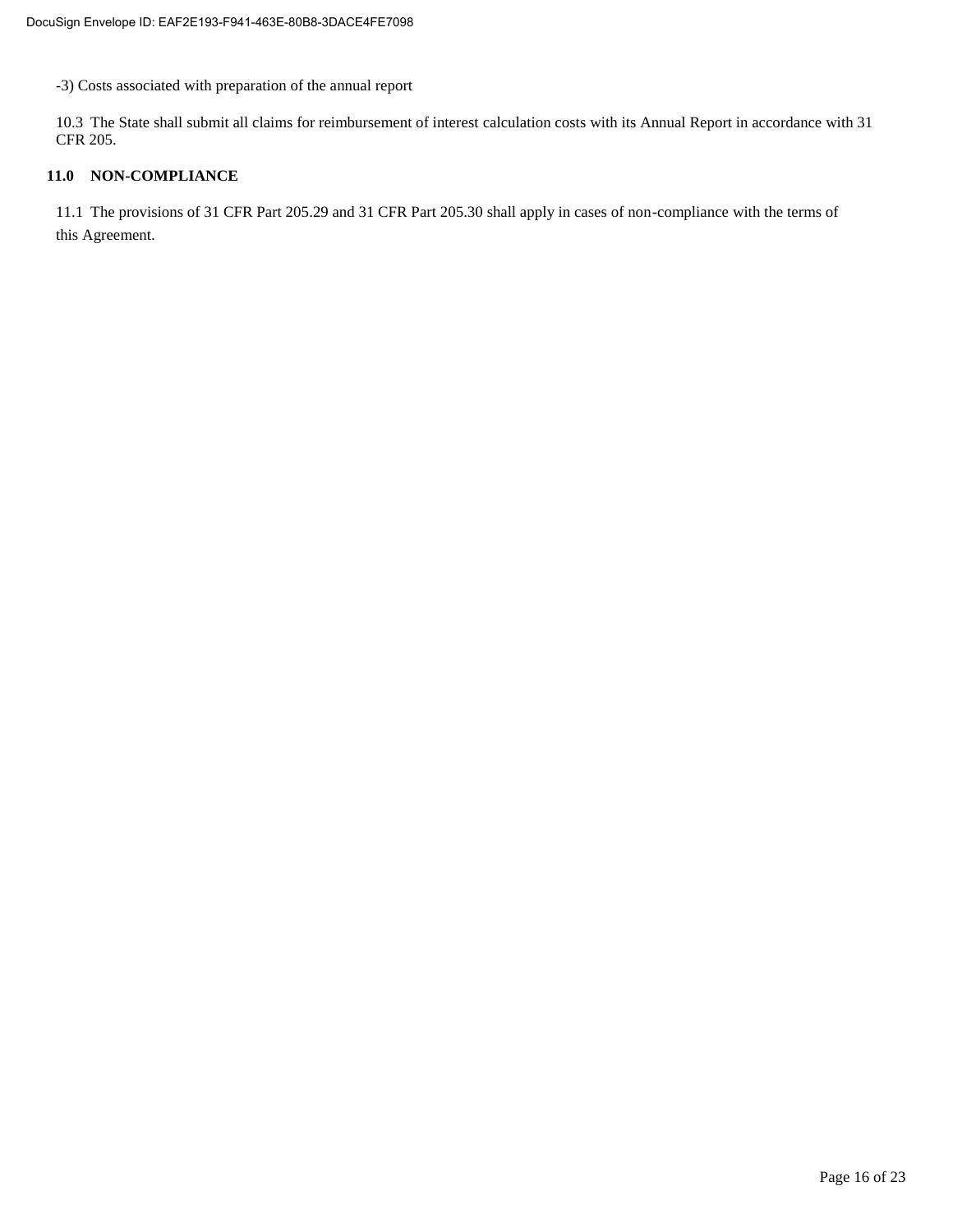-3) Costs associated with preparation of the annual report

10.3 The State shall submit all claims for reimbursement of interest calculation costs with its Annual Report in accordance with 31 CFR 205.

#### **11.0 NON-COMPLIANCE**

11.1 The provisions of 31 CFR Part 205.29 and 31 CFR Part 205.30 shall apply in cases of non-compliance with the terms of this Agreement.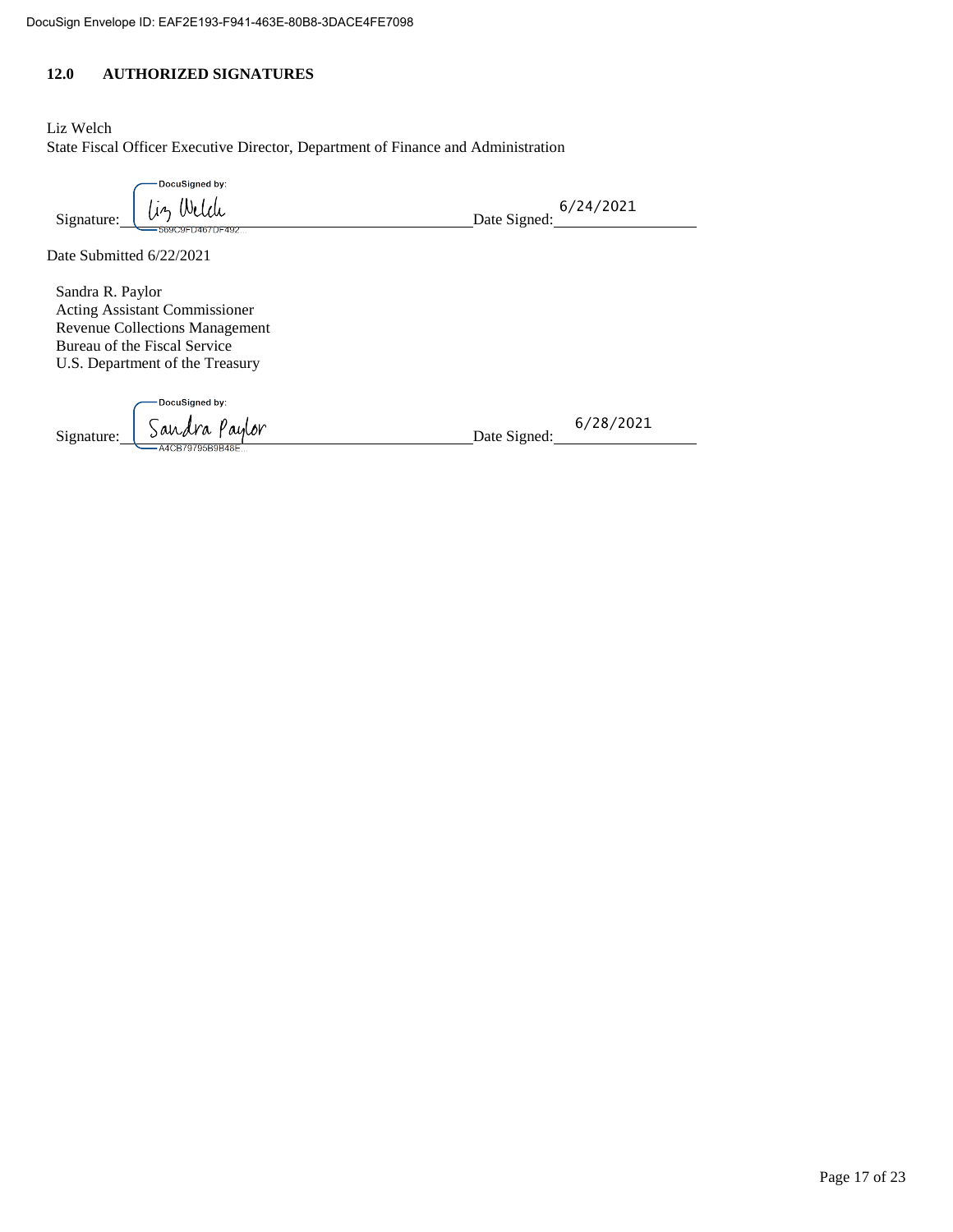#### **12.0 AUTHORIZED SIGNATURES**

Liz Welch State Fiscal Officer Executive Director, Department of Finance and Administration

| DocuSigned by:            |                           |
|---------------------------|---------------------------|
| Weldi<br>Uη<br>Signature: | 6/24/2021<br>Date Signed: |
| -569C9FD467DF492          |                           |

Date Submitted 6/22/2021

Sandra R. Paylor Acting Assistant Commissioner Revenue Collections Management Bureau of the Fiscal Service U.S. Department of the Treasury

-DocuSigned by: Signature: Sandra Paylor Date Signed:

6/28/2021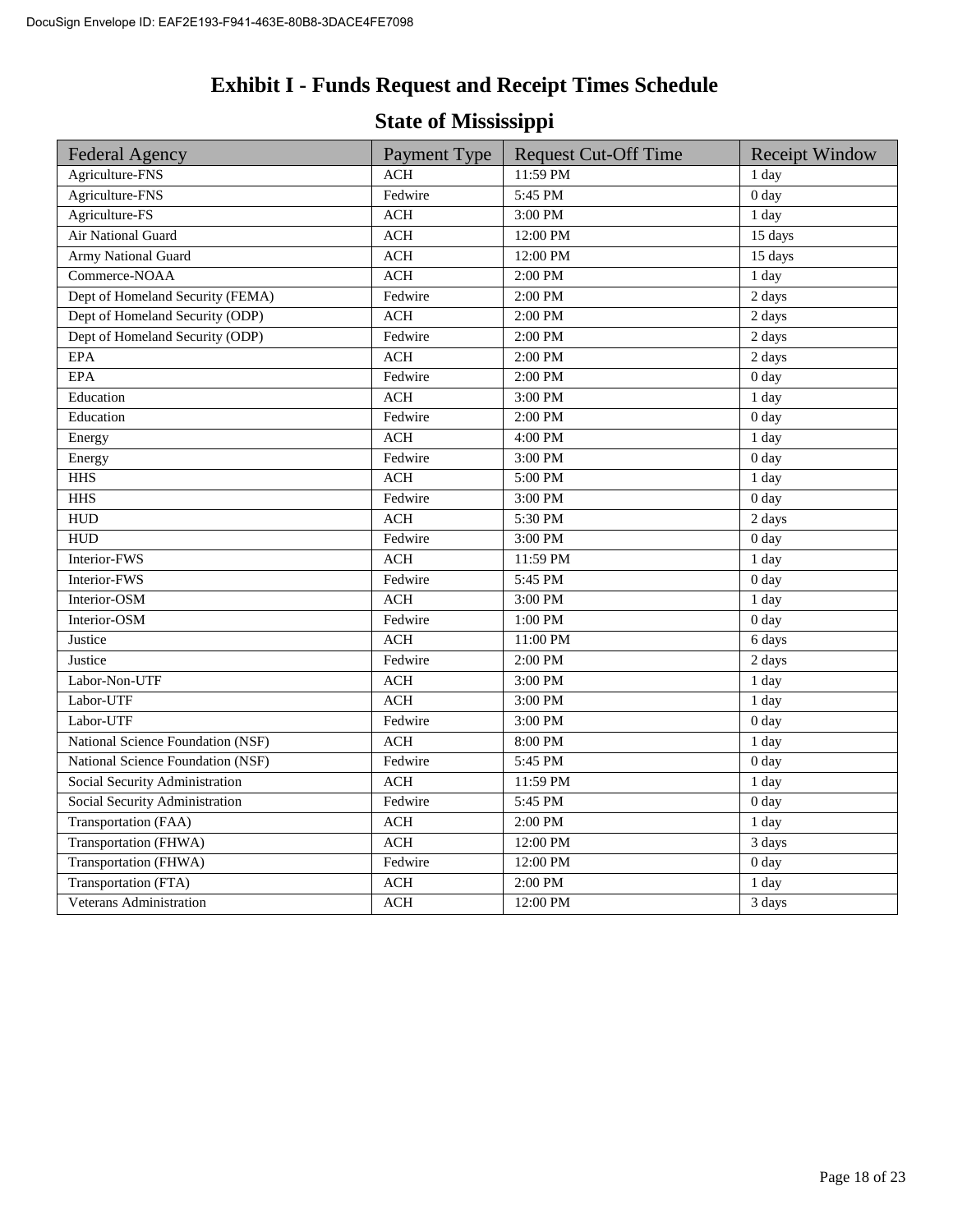# **Exhibit I - Funds Request and Receipt Times Schedule**

# **State of Mississippi**

| <b>Federal Agency</b>             | Payment Type | <b>Request Cut-Off Time</b> | <b>Receipt Window</b> |
|-----------------------------------|--------------|-----------------------------|-----------------------|
| Agriculture-FNS                   | <b>ACH</b>   | 11:59 PM                    | 1 day                 |
| Agriculture-FNS                   | Fedwire      | 5:45 PM                     | 0 <sub>day</sub>      |
| Agriculture-FS                    | <b>ACH</b>   | 3:00 PM                     | 1 day                 |
| Air National Guard                | ACH          | 12:00 PM                    | $\overline{15}$ days  |
| <b>Army National Guard</b>        | $\rm ACH$    | 12:00 PM                    | 15 days               |
| Commerce-NOAA                     | <b>ACH</b>   | 2:00 PM                     | 1 day                 |
| Dept of Homeland Security (FEMA)  | Fedwire      | 2:00 PM                     | 2 days                |
| Dept of Homeland Security (ODP)   | <b>ACH</b>   | 2:00 PM                     | 2 days                |
| Dept of Homeland Security (ODP)   | Fedwire      | 2:00 PM                     | 2 days                |
| <b>EPA</b>                        | <b>ACH</b>   | 2:00 PM                     | 2 days                |
| <b>EPA</b>                        | Fedwire      | 2:00 PM                     | 0 <sub>day</sub>      |
| Education                         | <b>ACH</b>   | 3:00 PM                     | 1 day                 |
| Education                         | Fedwire      | 2:00 PM                     | 0 <sub>day</sub>      |
| Energy                            | <b>ACH</b>   | 4:00 PM                     | 1 day                 |
| Energy                            | Fedwire      | 3:00 PM                     | 0 <sub>day</sub>      |
| <b>HHS</b>                        | <b>ACH</b>   | 5:00 PM                     | 1 day                 |
| <b>HHS</b>                        | Fedwire      | 3:00 PM                     | 0 <sub>day</sub>      |
| <b>HUD</b>                        | <b>ACH</b>   | 5:30 PM                     | 2 days                |
| <b>HUD</b>                        | Fedwire      | 3:00 PM                     | 0 <sub>day</sub>      |
| Interior-FWS                      | <b>ACH</b>   | 11:59 PM                    | 1 day                 |
| Interior-FWS                      | Fedwire      | 5:45 PM                     | 0 <sub>day</sub>      |
| Interior-OSM                      | <b>ACH</b>   | 3:00 PM                     | 1 day                 |
| Interior-OSM                      | Fedwire      | 1:00 PM                     | 0 <sub>day</sub>      |
| Justice                           | <b>ACH</b>   | 11:00 PM                    | 6 days                |
| Justice                           | Fedwire      | 2:00 PM                     | 2 days                |
| Labor-Non-UTF                     | <b>ACH</b>   | 3:00 PM                     | 1 day                 |
| Labor-UTF                         | <b>ACH</b>   | 3:00 PM                     | 1 day                 |
| Labor-UTF                         | Fedwire      | 3:00 PM                     | 0 <sub>day</sub>      |
| National Science Foundation (NSF) | <b>ACH</b>   | 8:00 PM                     | 1 day                 |
| National Science Foundation (NSF) | Fedwire      | 5:45 PM                     | 0 day                 |
| Social Security Administration    | <b>ACH</b>   | 11:59 PM                    | 1 day                 |
| Social Security Administration    | Fedwire      | 5:45 PM                     | 0 <sub>day</sub>      |
| Transportation (FAA)              | <b>ACH</b>   | 2:00 PM                     | 1 day                 |
| Transportation (FHWA)             | <b>ACH</b>   | 12:00 PM                    | 3 days                |
| Transportation (FHWA)             | Fedwire      | 12:00 PM                    | 0 <sub>day</sub>      |
| Transportation (FTA)              | <b>ACH</b>   | 2:00 PM                     | 1 day                 |
| Veterans Administration           | $\rm ACH$    | 12:00 PM                    | 3 days                |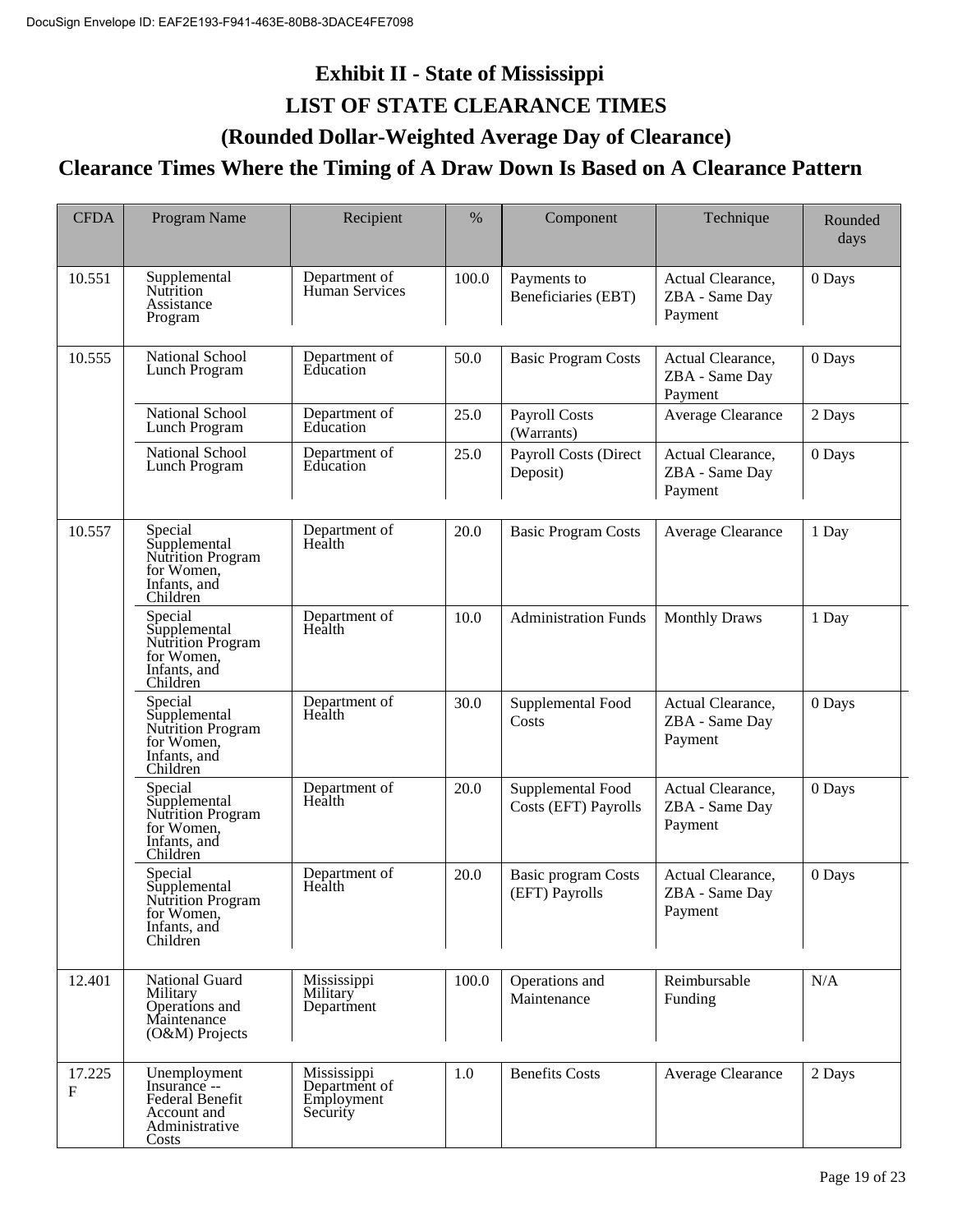# **Exhibit II - State of Mississippi LIST OF STATE CLEARANCE TIMES**

## **(Rounded Dollar-Weighted Average Day of Clearance)**

## **Clearance Times Where the Timing of A Draw Down Is Based on A Clearance Pattern**

| <b>CFDA</b> | Program Name                                                                                     | Recipient                                              | %     | Component                                    | Technique                                      | Rounded<br>days |
|-------------|--------------------------------------------------------------------------------------------------|--------------------------------------------------------|-------|----------------------------------------------|------------------------------------------------|-----------------|
| 10.551      | Supplemental<br>Nutrition<br>Assistance<br>Program                                               | Department of<br>Human Services                        | 100.0 | Payments to<br>Beneficiaries (EBT)           | Actual Clearance,<br>ZBA - Same Day<br>Payment | 0 Days          |
| 10.555      | <b>National School</b><br>Lunch Program                                                          | Department of<br>Education                             | 50.0  | <b>Basic Program Costs</b>                   | Actual Clearance,<br>ZBA - Same Day<br>Payment | 0 Days          |
|             | National School<br>Lunch Program                                                                 | Department of<br>Education                             | 25.0  | <b>Payroll Costs</b><br>(Warrants)           | Average Clearance                              | 2 Days          |
|             | National School<br>Lunch Program                                                                 | Department of<br>Education                             | 25.0  | Payroll Costs (Direct<br>Deposit)            | Actual Clearance,<br>ZBA - Same Day<br>Payment | 0 Days          |
| 10.557      | Special<br>Supplemental<br>Nutrition Program<br>for Women,<br>Infants, and<br>Children           | Department of<br>Health                                | 20.0  | <b>Basic Program Costs</b>                   | Average Clearance                              | 1 Day           |
|             | Special<br>Supplemental<br>Nutrition Program<br>for Women,<br>Infants, and<br>Children           | Department of<br>Health                                | 10.0  | <b>Administration Funds</b>                  | <b>Monthly Draws</b>                           | 1 Day           |
|             | Special<br>Supplemental<br>Nutrition Program<br>for Women,<br>Infants, and<br>Children           | Department of<br>Health                                | 30.0  | Supplemental Food<br>Costs                   | Actual Clearance,<br>ZBA - Same Day<br>Payment | 0 Days          |
|             | Special<br>Supplemental<br>Nutrition Program<br>for Women,<br>Infants, and<br>Children           | Department of<br>Health                                | 20.0  | Supplemental Food<br>Costs (EFT) Payrolls    | Actual Clearance,<br>ZBA - Same Day<br>Payment | 0 Days          |
|             | Special<br>Supplemental<br>Nutrition Program<br>for Women,<br>Infants, and<br>Children           | Department of<br>Health                                | 20.0  | <b>Basic program Costs</b><br>(EFT) Payrolls | Actual Clearance,<br>ZBA - Same Day<br>Payment | 0 Days          |
| 12.401      | National Guard<br>Military<br>Operations and<br>Maintenance<br>$(O&M)$ Projects                  | Mississippi<br>Military<br>Department                  | 100.0 | Operations and<br>Maintenance                | Reimbursable<br>Funding                        | N/A             |
| 17.225<br>F | Unemployment<br>Insurance --<br><b>Federal Benefit</b><br>Account and<br>Administrative<br>Costs | Mississippi<br>Department of<br>Employment<br>Security | 1.0   | <b>Benefits Costs</b>                        | Average Clearance                              | 2 Days          |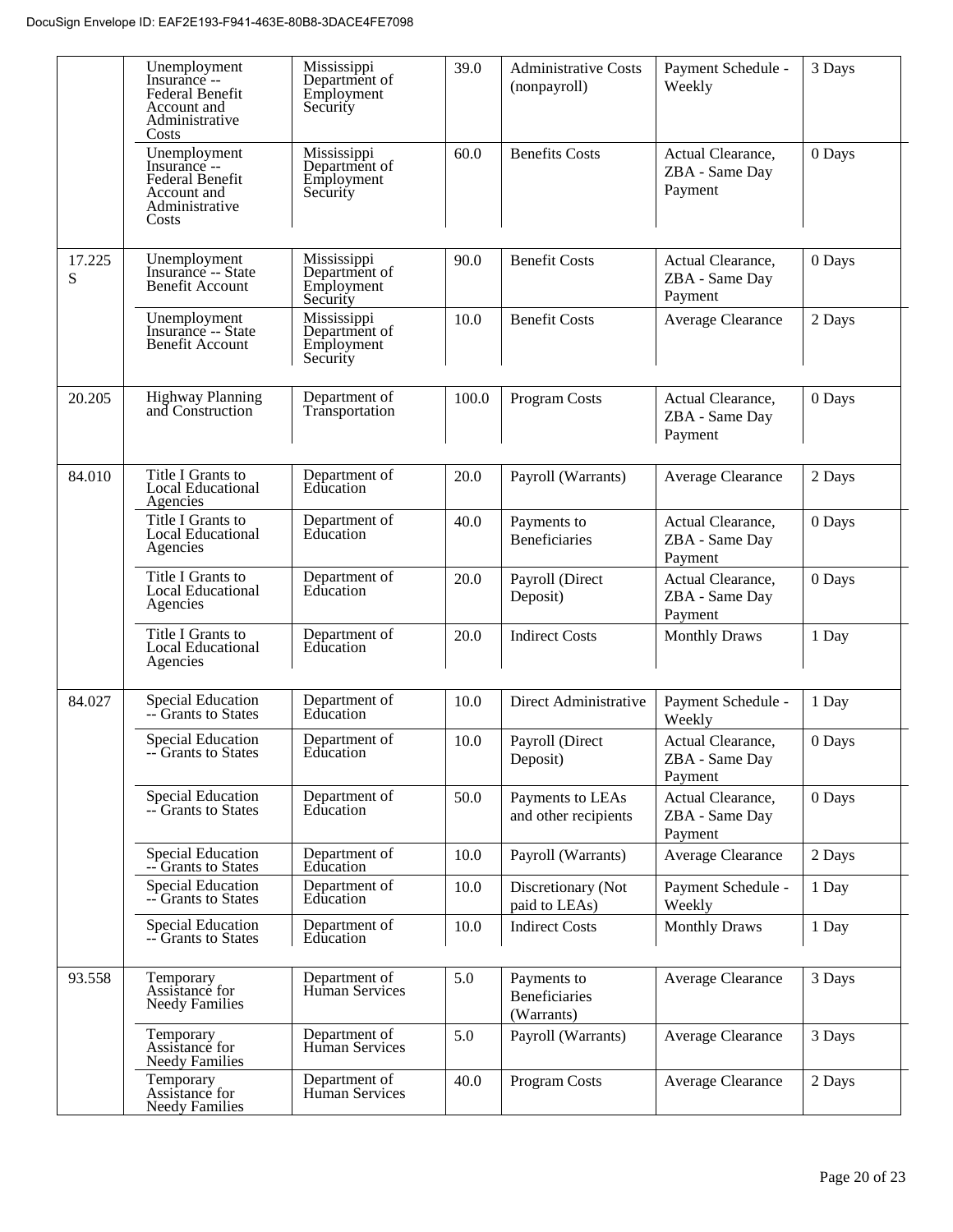|             | Unemployment<br>Insurance --<br>Federal Benefit<br>Account and<br>Administrative<br>Costs | Mississippi<br>Department of<br>Employment<br>Security | 39.0  | <b>Administrative Costs</b><br>(nonpayroll)       | Payment Schedule -<br>Weekly                   | 3 Days |
|-------------|-------------------------------------------------------------------------------------------|--------------------------------------------------------|-------|---------------------------------------------------|------------------------------------------------|--------|
|             | Unemployment<br>Insurance --<br>Federal Benefit<br>Account and<br>Administrative<br>Costs | Mississippi<br>Department of<br>Employment<br>Security | 60.0  | <b>Benefits Costs</b>                             | Actual Clearance,<br>ZBA - Same Day<br>Payment | 0 Days |
| 17.225<br>S | Unemployment<br>Insurance -- State<br>Benefit Account                                     | Mississippi<br>Department of<br>Employment<br>Security | 90.0  | <b>Benefit Costs</b>                              | Actual Clearance,<br>ZBA - Same Day<br>Payment | 0 Days |
|             | Unemployment<br>Insurance -- State<br>Benefit Account                                     | Mississippi<br>Department of<br>Employment<br>Security | 10.0  | <b>Benefit Costs</b>                              | Average Clearance                              | 2 Days |
| 20.205      | <b>Highway Planning</b><br>and Construction                                               | Department of<br>Transportation                        | 100.0 | Program Costs                                     | Actual Clearance,<br>ZBA - Same Day<br>Payment | 0 Days |
| 84.010      | Title I Grants to<br>Local Educational<br>Agencies                                        | Department of<br>Education                             | 20.0  | Payroll (Warrants)                                | Average Clearance                              | 2 Days |
|             | Title I Grants to<br>Local Educational<br>Agencies                                        | Department of<br>Education                             | 40.0  | Payments to<br>Beneficiaries                      | Actual Clearance,<br>ZBA - Same Day<br>Payment | 0 Days |
|             | Title I Grants to<br>Local Educational<br>Agencies                                        | Department of<br>Education                             | 20.0  | Payroll (Direct<br>Deposit)                       | Actual Clearance,<br>ZBA - Same Day<br>Payment | 0 Days |
|             | Title I Grants to<br>Local Educational<br>Agencies                                        | Department of<br>Education                             | 20.0  | <b>Indirect Costs</b>                             | <b>Monthly Draws</b>                           | 1 Day  |
| 84.027      | Special Education<br>-- Grants to States                                                  | Department of<br>Education                             | 10.0  | Direct Administrative                             | Payment Schedule -<br>Weekly                   | 1 Day  |
|             | <b>Special Education</b><br><b>Grants to States</b>                                       | Department of<br>Education                             | 10.0  | Payroll (Direct<br>Deposit)                       | Actual Clearance,<br>ZBA - Same Day<br>Payment | 0 Days |
|             | <b>Special Education</b><br>-- Grants to States                                           | Department of<br>Education                             | 50.0  | Payments to LEAs<br>and other recipients          | Actual Clearance,<br>ZBA - Same Day<br>Payment | 0 Days |
|             | <b>Special Education</b><br>-- Grants to States                                           | Department of<br>Education                             | 10.0  | Payroll (Warrants)                                | Average Clearance                              | 2 Days |
|             | <b>Special Education</b><br>-- Grants to States                                           | Department of<br>Education                             | 10.0  | Discretionary (Not<br>paid to LEAs)               | Payment Schedule -<br>Weekly                   | 1 Day  |
|             | <b>Special Education</b><br>-- Grants to States                                           | Department of<br>Education                             | 10.0  | <b>Indirect Costs</b>                             | <b>Monthly Draws</b>                           | 1 Day  |
| 93.558      | Temporary<br>Assistance for<br><b>Needy Families</b>                                      | Department of<br>Human Services                        | 5.0   | Payments to<br><b>Beneficiaries</b><br>(Warrants) | Average Clearance                              | 3 Days |
|             | Temporary<br>Assistance for<br><b>Needy Families</b>                                      | Department of<br>Human Services                        | 5.0   | Payroll (Warrants)                                | Average Clearance                              | 3 Days |
|             | Temporary<br>Assistance for<br><b>Needy Families</b>                                      | Department of<br>Human Services                        | 40.0  | Program Costs                                     | Average Clearance                              | 2 Days |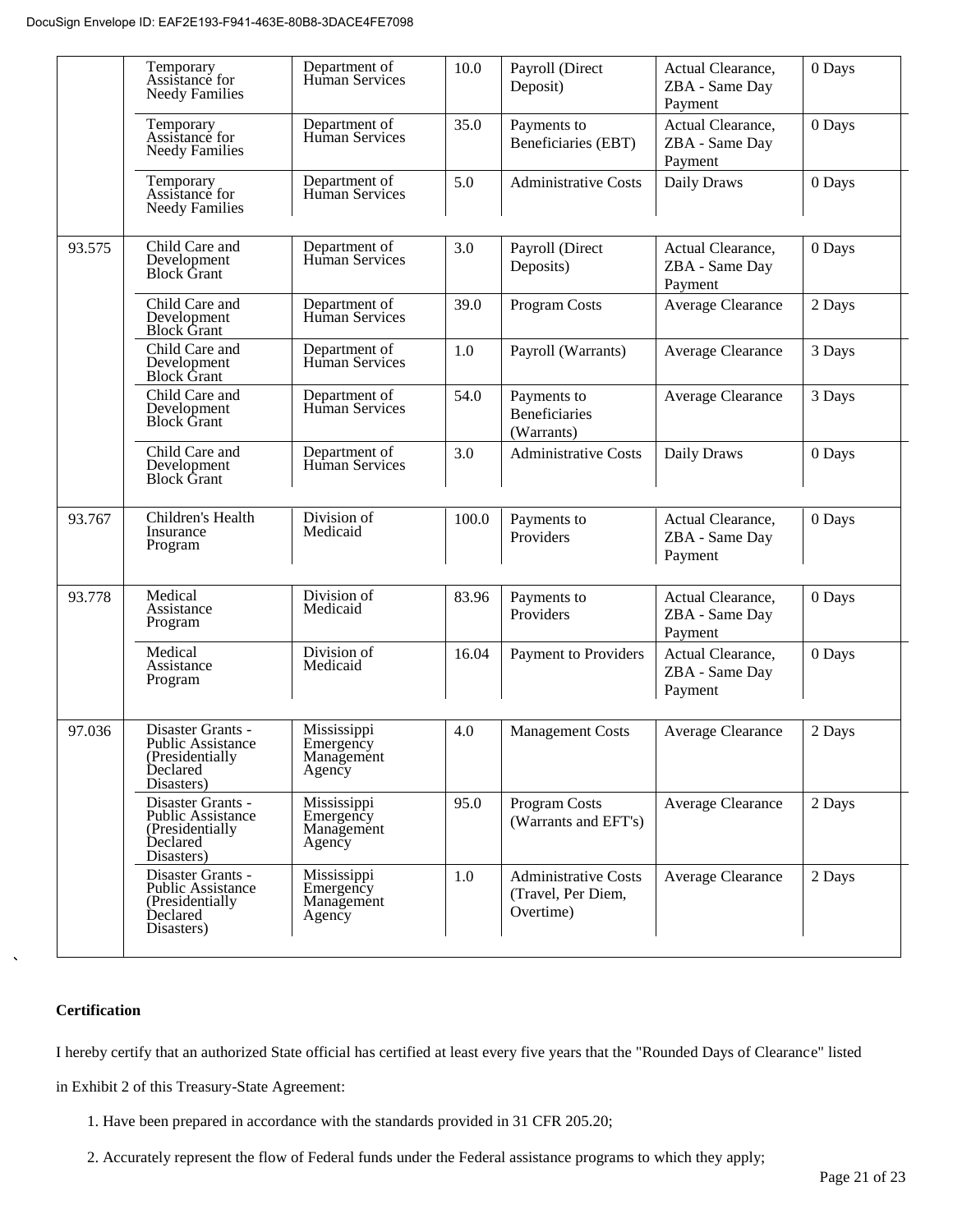|        | Temporary<br>Assistance for<br><b>Needy Families</b>                                        | Department of<br>Human Services                  | 10.0  | Payroll (Direct<br>Deposit)                                    | Actual Clearance,<br>ZBA - Same Day<br>Payment | 0 Days |
|--------|---------------------------------------------------------------------------------------------|--------------------------------------------------|-------|----------------------------------------------------------------|------------------------------------------------|--------|
|        | Temporary<br>Assistance for<br><b>Needy Families</b>                                        | Department of<br>Human Services                  | 35.0  | Payments to<br>Beneficiaries (EBT)                             | Actual Clearance,<br>ZBA - Same Day<br>Payment | 0 Days |
|        | Temporary<br>Assistance for<br><b>Needy Families</b>                                        | Department of<br>Human Services                  | 5.0   | <b>Administrative Costs</b>                                    | Daily Draws                                    | 0 Days |
| 93.575 | Child Care and<br>Development<br><b>Block Grant</b>                                         | Department of<br>Human Services                  | 3.0   | Payroll (Direct<br>Deposits)                                   | Actual Clearance,<br>ZBA - Same Day<br>Payment | 0 Days |
|        | Child Care and<br>Development<br><b>Block Grant</b>                                         | Department of<br>Human Services                  | 39.0  | <b>Program Costs</b>                                           | Average Clearance                              | 2 Days |
|        | Child Care and<br>Development<br><b>Block Grant</b>                                         | Department of<br>Human Services                  | 1.0   | Payroll (Warrants)                                             | Average Clearance                              | 3 Days |
|        | Child Care and<br>Development<br><b>Block Grant</b>                                         | Department of<br>Human Services                  | 54.0  | Payments to<br><b>Beneficiaries</b><br>(Warrants)              | Average Clearance                              | 3 Days |
|        | Child Care and<br>Development<br><b>Block Grant</b>                                         | Department of<br>Human Services                  | 3.0   | <b>Administrative Costs</b>                                    | Daily Draws                                    | 0 Days |
| 93.767 | Children's Health<br>Insurance<br>Program                                                   | Division of<br>Medicaid                          | 100.0 | Payments to<br>Providers                                       | Actual Clearance,<br>ZBA - Same Day<br>Payment | 0 Days |
| 93.778 | Medical<br>Assistance<br>Program                                                            | Division of<br>Medicaid                          | 83.96 | Payments to<br>Providers                                       | Actual Clearance,<br>ZBA - Same Day<br>Payment | 0 Days |
|        | Medical<br>Assistance<br>Program                                                            | Division of<br>Medicaid                          | 16.04 | Payment to Providers                                           | Actual Clearance,<br>ZBA - Same Day<br>Payment | 0 Days |
| 97.036 | Disaster Grants -<br><b>Public Assistance</b><br>(Presidentially<br>Declared<br>Disasters)  | Mississippi<br>Emergency<br>Management<br>Agency | 4.0   | <b>Management Costs</b>                                        | Average Clearance                              | 2 Days |
|        | Disaster Grants -<br><b>Public Assistance</b><br>(Presidentially)<br>Declared<br>Disasters) | Mississippi<br>Emergency<br>Management<br>Agency | 95.0  | Program Costs<br>(Warrants and EFT's)                          | Average Clearance                              | 2 Days |
|        | Disaster Grants -<br><b>Public Assistance</b><br>(Presidentially<br>Declared<br>Disasters)  | Mississippi<br>Emergency<br>Management<br>Agency | 1.0   | <b>Administrative Costs</b><br>(Travel, Per Diem,<br>Overtime) | Average Clearance                              | 2 Days |

#### **Certification**

I hereby certify that an authorized State official has certified at least every five years that the "Rounded Days of Clearance" listed

in Exhibit 2 of this Treasury-State Agreement:

- 1. Have been prepared in accordance with the standards provided in 31 CFR 205.20;
- 2. Accurately represent the flow of Federal funds under the Federal assistance programs to which they apply;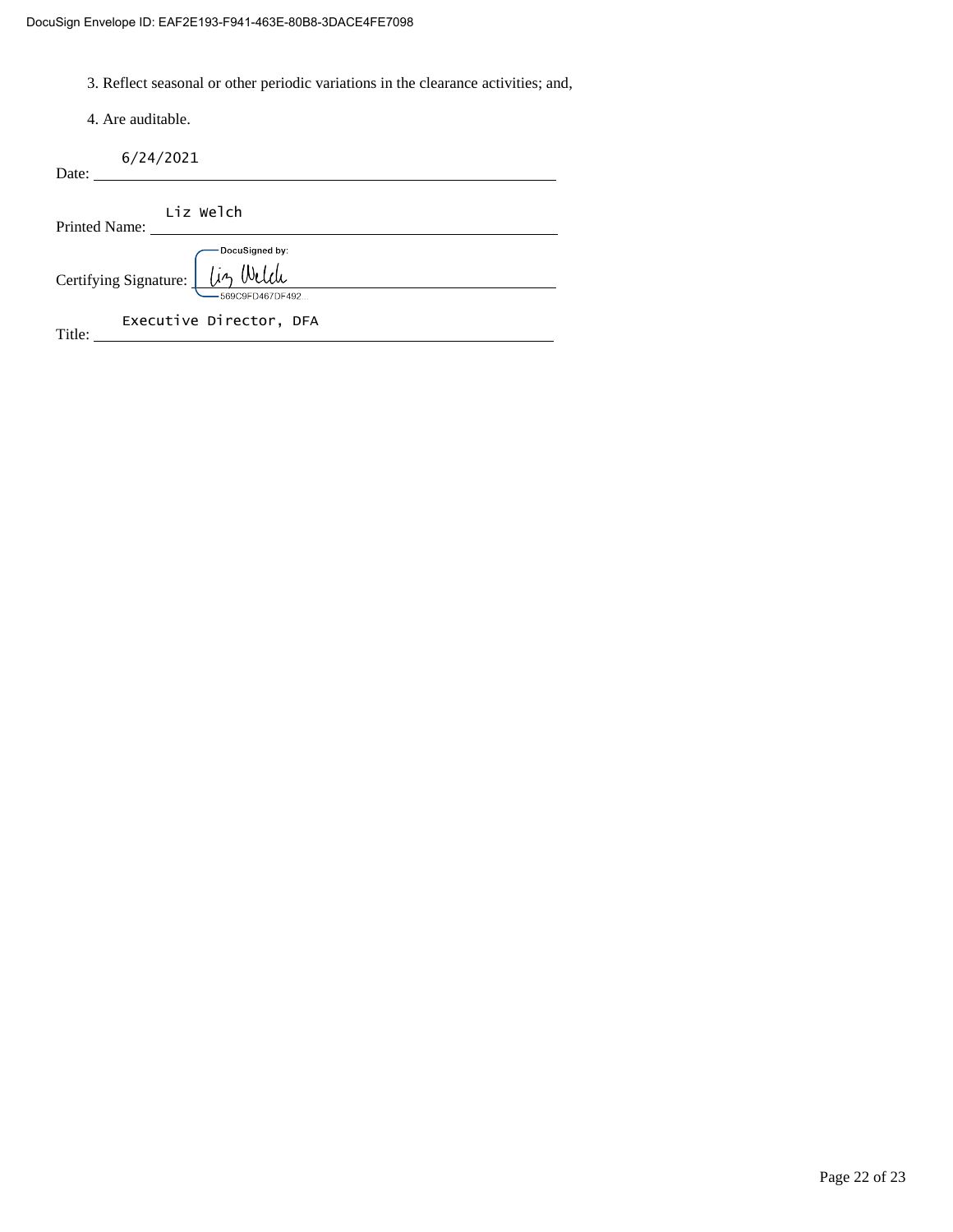3. Reflect seasonal or other periodic variations in the clearance activities; and,

4. Are auditable.

|       | 6/24/2021 |
|-------|-----------|
| Date: |           |

| Printed Name:                                               | Liz Welch               |
|-------------------------------------------------------------|-------------------------|
|                                                             | DocuSigned by:          |
| Certifying Signature: [ <i>Liz Welch</i><br>569C9FD467DF492 |                         |
| Title:                                                      | Executive Director, DFA |